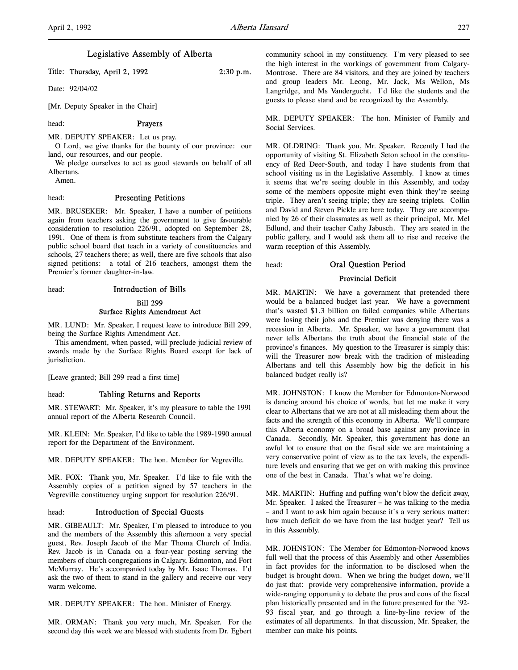# Legislative Assembly of Alberta

Title: Thursday, April 2, 1992 2:30 p.m.

Date: 92/04/02

[Mr. Deputy Speaker in the Chair]

head: Prayers

MR. DEPUTY SPEAKER: Let us pray.

O Lord, we give thanks for the bounty of our province: our land, our resources, and our people.

We pledge ourselves to act as good stewards on behalf of all Albertans.

Amen.

# head: Presenting Petitions

MR. BRUSEKER: Mr. Speaker, I have a number of petitions again from teachers asking the government to give favourable consideration to resolution 226/91, adopted on September 28, 1991. One of them is from substitute teachers from the Calgary public school board that teach in a variety of constituencies and schools, 27 teachers there; as well, there are five schools that also signed petitions: a total of 216 teachers, amongst them the Premier's former daughter-in-law.

head: Introduction of Bills

#### Bill 299

### Surface Rights Amendment Act

MR. LUND: Mr. Speaker, I request leave to introduce Bill 299, being the Surface Rights Amendment Act.

This amendment, when passed, will preclude judicial review of awards made by the Surface Rights Board except for lack of jurisdiction.

[Leave granted; Bill 299 read a first time]

### head: Tabling Returns and Reports

MR. STEWART: Mr. Speaker, it's my pleasure to table the 1991 annual report of the Alberta Research Council.

MR. KLEIN: Mr. Speaker, I'd like to table the 1989-1990 annual report for the Department of the Environment.

MR. DEPUTY SPEAKER: The hon. Member for Vegreville.

MR. FOX: Thank you, Mr. Speaker. I'd like to file with the Assembly copies of a petition signed by 57 teachers in the Vegreville constituency urging support for resolution 226/91.

# head: Introduction of Special Guests

MR. GIBEAULT: Mr. Speaker, I'm pleased to introduce to you and the members of the Assembly this afternoon a very special guest, Rev. Joseph Jacob of the Mar Thoma Church of India. Rev. Jacob is in Canada on a four-year posting serving the members of church congregations in Calgary, Edmonton, and Fort McMurray. He's accompanied today by Mr. Isaac Thomas. I'd ask the two of them to stand in the gallery and receive our very warm welcome.

MR. DEPUTY SPEAKER: The hon. Minister of Energy.

MR. ORMAN: Thank you very much, Mr. Speaker. For the second day this week we are blessed with students from Dr. Egbert community school in my constituency. I'm very pleased to see the high interest in the workings of government from Calgary-Montrose. There are 84 visitors, and they are joined by teachers and group leaders Mr. Leong, Mr. Jack, Ms Wellon, Ms Langridge, and Ms Vandergucht. I'd like the students and the guests to please stand and be recognized by the Assembly.

MR. DEPUTY SPEAKER: The hon. Minister of Family and Social Services.

MR. OLDRING: Thank you, Mr. Speaker. Recently I had the opportunity of visiting St. Elizabeth Seton school in the constituency of Red Deer-South, and today I have students from that school visiting us in the Legislative Assembly. I know at times it seems that we're seeing double in this Assembly, and today some of the members opposite might even think they're seeing triple. They aren't seeing triple; they are seeing triplets. Collin and David and Steven Pickle are here today. They are accompanied by 26 of their classmates as well as their principal, Mr. Mel Edlund, and their teacher Cathy Jabusch. They are seated in the public gallery, and I would ask them all to rise and receive the warm reception of this Assembly.

# head: Oral Question Period

# Provincial Deficit

MR. MARTIN: We have a government that pretended there would be a balanced budget last year. We have a government that's wasted \$1.3 billion on failed companies while Albertans were losing their jobs and the Premier was denying there was a recession in Alberta. Mr. Speaker, we have a government that never tells Albertans the truth about the financial state of the province's finances. My question to the Treasurer is simply this: will the Treasurer now break with the tradition of misleading Albertans and tell this Assembly how big the deficit in his balanced budget really is?

MR. JOHNSTON: I know the Member for Edmonton-Norwood is dancing around his choice of words, but let me make it very clear to Albertans that we are not at all misleading them about the facts and the strength of this economy in Alberta. We'll compare this Alberta economy on a broad base against any province in Canada. Secondly, Mr. Speaker, this government has done an awful lot to ensure that on the fiscal side we are maintaining a very conservative point of view as to the tax levels, the expenditure levels and ensuring that we get on with making this province one of the best in Canada. That's what we're doing.

MR. MARTIN: Huffing and puffing won't blow the deficit away, Mr. Speaker. I asked the Treasurer – he was talking to the media – and I want to ask him again because it's a very serious matter: how much deficit do we have from the last budget year? Tell us in this Assembly.

MR. JOHNSTON: The Member for Edmonton-Norwood knows full well that the process of this Assembly and other Assemblies in fact provides for the information to be disclosed when the budget is brought down. When we bring the budget down, we'll do just that: provide very comprehensive information, provide a wide-ranging opportunity to debate the pros and cons of the fiscal plan historically presented and in the future presented for the '92- 93 fiscal year, and go through a line-by-line review of the estimates of all departments. In that discussion, Mr. Speaker, the member can make his points.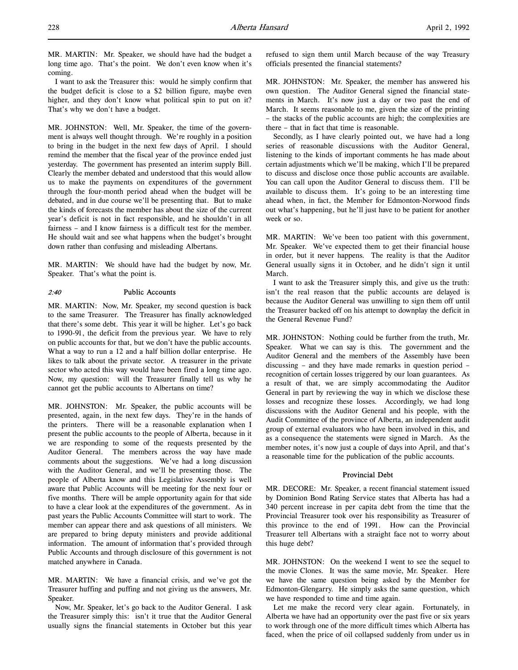I want to ask the Treasurer this: would he simply confirm that the budget deficit is close to a \$2 billion figure, maybe even higher, and they don't know what political spin to put on it? That's why we don't have a budget.

MR. JOHNSTON: Well, Mr. Speaker, the time of the government is always well thought through. We're roughly in a position to bring in the budget in the next few days of April. I should remind the member that the fiscal year of the province ended just yesterday. The government has presented an interim supply Bill. Clearly the member debated and understood that this would allow us to make the payments on expenditures of the government through the four-month period ahead when the budget will be debated, and in due course we'll be presenting that. But to make the kinds of forecasts the member has about the size of the current year's deficit is not in fact responsible, and he shouldn't in all fairness – and I know fairness is a difficult test for the member. He should wait and see what happens when the budget's brought down rather than confusing and misleading Albertans.

MR. MARTIN: We should have had the budget by now, Mr. Speaker. That's what the point is.

## 2:40 Public Accounts

MR. MARTIN: Now, Mr. Speaker, my second question is back to the same Treasurer. The Treasurer has finally acknowledged that there's some debt. This year it will be higher. Let's go back to 1990-91, the deficit from the previous year. We have to rely on public accounts for that, but we don't have the public accounts. What a way to run a 12 and a half billion dollar enterprise. He likes to talk about the private sector. A treasurer in the private sector who acted this way would have been fired a long time ago. Now, my question: will the Treasurer finally tell us why he cannot get the public accounts to Albertans on time?

MR. JOHNSTON: Mr. Speaker, the public accounts will be presented, again, in the next few days. They're in the hands of the printers. There will be a reasonable explanation when I present the public accounts to the people of Alberta, because in it we are responding to some of the requests presented by the Auditor General. The members across the way have made comments about the suggestions. We've had a long discussion with the Auditor General, and we'll be presenting those. The people of Alberta know and this Legislative Assembly is well aware that Public Accounts will be meeting for the next four or five months. There will be ample opportunity again for that side to have a clear look at the expenditures of the government. As in past years the Public Accounts Committee will start to work. The member can appear there and ask questions of all ministers. We are prepared to bring deputy ministers and provide additional information. The amount of information that's provided through Public Accounts and through disclosure of this government is not matched anywhere in Canada.

MR. MARTIN: We have a financial crisis, and we've got the Treasurer huffing and puffing and not giving us the answers, Mr. Speaker.

Now, Mr. Speaker, let's go back to the Auditor General. I ask the Treasurer simply this: isn't it true that the Auditor General usually signs the financial statements in October but this year

refused to sign them until March because of the way Treasury officials presented the financial statements?

MR. JOHNSTON: Mr. Speaker, the member has answered his own question. The Auditor General signed the financial statements in March. It's now just a day or two past the end of March. It seems reasonable to me, given the size of the printing – the stacks of the public accounts are high; the complexities are there – that in fact that time is reasonable.

Secondly, as I have clearly pointed out, we have had a long series of reasonable discussions with the Auditor General, listening to the kinds of important comments he has made about certain adjustments which we'll be making, which I'll be prepared to discuss and disclose once those public accounts are available. You can call upon the Auditor General to discuss them. I'll be available to discuss them. It's going to be an interesting time ahead when, in fact, the Member for Edmonton-Norwood finds out what's happening, but he'll just have to be patient for another week or so.

MR. MARTIN: We've been too patient with this government, Mr. Speaker. We've expected them to get their financial house in order, but it never happens. The reality is that the Auditor General usually signs it in October, and he didn't sign it until March.

I want to ask the Treasurer simply this, and give us the truth: isn't the real reason that the public accounts are delayed is because the Auditor General was unwilling to sign them off until the Treasurer backed off on his attempt to downplay the deficit in the General Revenue Fund?

MR. JOHNSTON: Nothing could be further from the truth, Mr. Speaker. What we can say is this. The government and the Auditor General and the members of the Assembly have been discussing – and they have made remarks in question period – recognition of certain losses triggered by our loan guarantees. As a result of that, we are simply accommodating the Auditor General in part by reviewing the way in which we disclose these losses and recognize these losses. Accordingly, we had long discussions with the Auditor General and his people, with the Audit Committee of the province of Alberta, an independent audit group of external evaluators who have been involved in this, and as a consequence the statements were signed in March. As the member notes, it's now just a couple of days into April, and that's a reasonable time for the publication of the public accounts.

#### Provincial Debt

MR. DECORE: Mr. Speaker, a recent financial statement issued by Dominion Bond Rating Service states that Alberta has had a 340 percent increase in per capita debt from the time that the Provincial Treasurer took over his responsibility as Treasurer of this province to the end of 1991. How can the Provincial Treasurer tell Albertans with a straight face not to worry about this huge debt?

MR. JOHNSTON: On the weekend I went to see the sequel to the movie Clones. It was the same movie, Mr. Speaker. Here we have the same question being asked by the Member for Edmonton-Glengarry. He simply asks the same question, which we have responded to time and time again.

Let me make the record very clear again. Fortunately, in Alberta we have had an opportunity over the past five or six years to work through one of the more difficult times which Alberta has faced, when the price of oil collapsed suddenly from under us in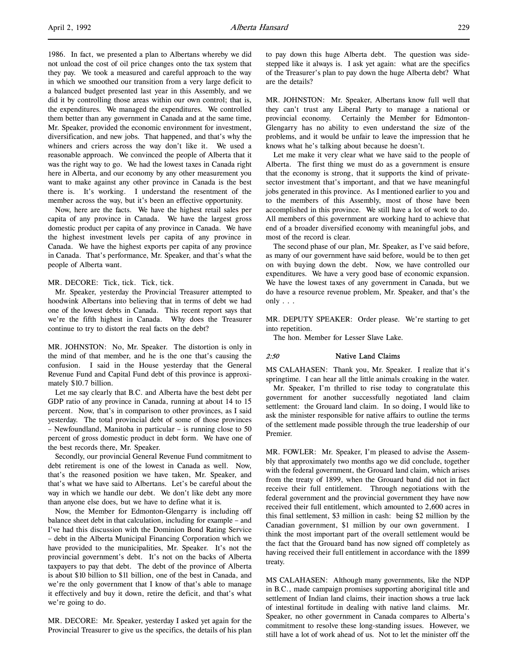1986. In fact, we presented a plan to Albertans whereby we did not unload the cost of oil price changes onto the tax system that they pay. We took a measured and careful approach to the way in which we smoothed our transition from a very large deficit to a balanced budget presented last year in this Assembly, and we did it by controlling those areas within our own control; that is, the expenditures. We managed the expenditures. We controlled them better than any government in Canada and at the same time, Mr. Speaker, provided the economic environment for investment, diversification, and new jobs. That happened, and that's why the whiners and criers across the way don't like it. We used a reasonable approach. We convinced the people of Alberta that it was the right way to go. We had the lowest taxes in Canada right here in Alberta, and our economy by any other measurement you want to make against any other province in Canada is the best there is. It's working. I understand the resentment of the member across the way, but it's been an effective opportunity.

Now, here are the facts. We have the highest retail sales per capita of any province in Canada. We have the largest gross domestic product per capita of any province in Canada. We have the highest investment levels per capita of any province in Canada. We have the highest exports per capita of any province in Canada. That's performance, Mr. Speaker, and that's what the people of Alberta want.

#### MR. DECORE: Tick, tick. Tick, tick.

Mr. Speaker, yesterday the Provincial Treasurer attempted to hoodwink Albertans into believing that in terms of debt we had one of the lowest debts in Canada. This recent report says that we're the fifth highest in Canada. Why does the Treasurer continue to try to distort the real facts on the debt?

MR. JOHNSTON: No, Mr. Speaker. The distortion is only in the mind of that member, and he is the one that's causing the confusion. I said in the House yesterday that the General Revenue Fund and Capital Fund debt of this province is approximately \$10.7 billion.

Let me say clearly that B.C. and Alberta have the best debt per GDP ratio of any province in Canada, running at about 14 to 15 percent. Now, that's in comparison to other provinces, as I said yesterday. The total provincial debt of some of those provinces – Newfoundland, Manitoba in particular – is running close to 50 percent of gross domestic product in debt form. We have one of the best records there, Mr. Speaker.

Secondly, our provincial General Revenue Fund commitment to debt retirement is one of the lowest in Canada as well. Now, that's the reasoned position we have taken, Mr. Speaker, and that's what we have said to Albertans. Let's be careful about the way in which we handle our debt. We don't like debt any more than anyone else does, but we have to define what it is.

Now, the Member for Edmonton-Glengarry is including off balance sheet debt in that calculation, including for example – and I've had this discussion with the Dominion Bond Rating Service – debt in the Alberta Municipal Financing Corporation which we have provided to the municipalities, Mr. Speaker. It's not the provincial government's debt. It's not on the backs of Alberta taxpayers to pay that debt. The debt of the province of Alberta is about \$10 billion to \$11 billion, one of the best in Canada, and we're the only government that I know of that's able to manage it effectively and buy it down, retire the deficit, and that's what we're going to do.

MR. DECORE: Mr. Speaker, yesterday I asked yet again for the Provincial Treasurer to give us the specifics, the details of his plan to pay down this huge Alberta debt. The question was sidestepped like it always is. I ask yet again: what are the specifics of the Treasurer's plan to pay down the huge Alberta debt? What are the details?

MR. JOHNSTON: Mr. Speaker, Albertans know full well that they can't trust any Liberal Party to manage a national or provincial economy. Certainly the Member for Edmonton-Glengarry has no ability to even understand the size of the problems, and it would be unfair to leave the impression that he knows what he's talking about because he doesn't.

Let me make it very clear what we have said to the people of Alberta. The first thing we must do as a government is ensure that the economy is strong, that it supports the kind of privatesector investment that's important, and that we have meaningful jobs generated in this province. As I mentioned earlier to you and to the members of this Assembly, most of those have been accomplished in this province. We still have a lot of work to do. All members of this government are working hard to achieve that end of a broader diversified economy with meaningful jobs, and most of the record is clear.

The second phase of our plan, Mr. Speaker, as I've said before, as many of our government have said before, would be to then get on with buying down the debt. Now, we have controlled our expenditures. We have a very good base of economic expansion. We have the lowest taxes of any government in Canada, but we do have a resource revenue problem, Mr. Speaker, and that's the only . . .

MR. DEPUTY SPEAKER: Order please. We're starting to get into repetition.

The hon. Member for Lesser Slave Lake.

#### 2:50 Native Land Claims

MS CALAHASEN: Thank you, Mr. Speaker. I realize that it's springtime. I can hear all the little animals croaking in the water.

Mr. Speaker, I'm thrilled to rise today to congratulate this government for another successfully negotiated land claim settlement: the Grouard land claim. In so doing, I would like to ask the minister responsible for native affairs to outline the terms of the settlement made possible through the true leadership of our Premier.

MR. FOWLER: Mr. Speaker, I'm pleased to advise the Assembly that approximately two months ago we did conclude, together with the federal government, the Grouard land claim, which arises from the treaty of 1899, when the Grouard band did not in fact receive their full entitlement. Through negotiations with the federal government and the provincial government they have now received their full entitlement, which amounted to 2,600 acres in this final settlement, \$3 million in cash: being \$2 million by the Canadian government, \$1 million by our own government. I think the most important part of the overall settlement would be the fact that the Grouard band has now signed off completely as having received their full entitlement in accordance with the 1899 treaty.

MS CALAHASEN: Although many governments, like the NDP in B.C., made campaign promises supporting aboriginal title and settlement of Indian land claims, their inaction shows a true lack of intestinal fortitude in dealing with native land claims. Mr. Speaker, no other government in Canada compares to Alberta's commitment to resolve these long-standing issues. However, we still have a lot of work ahead of us. Not to let the minister off the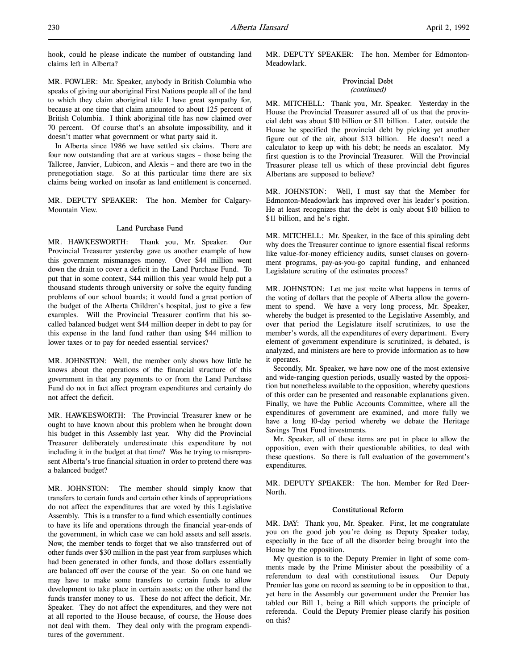MR. FOWLER: Mr. Speaker, anybody in British Columbia who speaks of giving our aboriginal First Nations people all of the land to which they claim aboriginal title I have great sympathy for, because at one time that claim amounted to about 125 percent of British Columbia. I think aboriginal title has now claimed over 70 percent. Of course that's an absolute impossibility, and it doesn't matter what government or what party said it.

In Alberta since 1986 we have settled six claims. There are four now outstanding that are at various stages – those being the Tallcree, Janvier, Lubicon, and Alexis – and there are two in the prenegotiation stage. So at this particular time there are six claims being worked on insofar as land entitlement is concerned.

MR. DEPUTY SPEAKER: The hon. Member for Calgary-Mountain View.

### Land Purchase Fund

MR. HAWKESWORTH: Thank you, Mr. Speaker. Our Provincial Treasurer yesterday gave us another example of how this government mismanages money. Over \$44 million went down the drain to cover a deficit in the Land Purchase Fund. To put that in some context, \$44 million this year would help put a thousand students through university or solve the equity funding problems of our school boards; it would fund a great portion of the budget of the Alberta Children's hospital, just to give a few examples. Will the Provincial Treasurer confirm that his socalled balanced budget went \$44 million deeper in debt to pay for this expense in the land fund rather than using \$44 million to lower taxes or to pay for needed essential services?

MR. JOHNSTON: Well, the member only shows how little he knows about the operations of the financial structure of this government in that any payments to or from the Land Purchase Fund do not in fact affect program expenditures and certainly do not affect the deficit.

MR. HAWKESWORTH: The Provincial Treasurer knew or he ought to have known about this problem when he brought down his budget in this Assembly last year. Why did the Provincial Treasurer deliberately underestimate this expenditure by not including it in the budget at that time? Was he trying to misrepresent Alberta's true financial situation in order to pretend there was a balanced budget?

MR. JOHNSTON: The member should simply know that transfers to certain funds and certain other kinds of appropriations do not affect the expenditures that are voted by this Legislative Assembly. This is a transfer to a fund which essentially continues to have its life and operations through the financial year-ends of the government, in which case we can hold assets and sell assets. Now, the member tends to forget that we also transferred out of other funds over \$30 million in the past year from surpluses which had been generated in other funds, and those dollars essentially are balanced off over the course of the year. So on one hand we may have to make some transfers to certain funds to allow development to take place in certain assets; on the other hand the funds transfer money to us. These do not affect the deficit, Mr. Speaker. They do not affect the expenditures, and they were not at all reported to the House because, of course, the House does not deal with them. They deal only with the program expenditures of the government.

MR. DEPUTY SPEAKER: The hon. Member for Edmonton-Meadowlark.

#### Provincial Debt (continued)

MR. MITCHELL: Thank you, Mr. Speaker. Yesterday in the House the Provincial Treasurer assured all of us that the provincial debt was about \$10 billion or \$11 billion. Later, outside the House he specified the provincial debt by picking yet another figure out of the air, about \$13 billion. He doesn't need a calculator to keep up with his debt; he needs an escalator. My first question is to the Provincial Treasurer. Will the Provincial Treasurer please tell us which of these provincial debt figures Albertans are supposed to believe?

MR. JOHNSTON: Well, I must say that the Member for Edmonton-Meadowlark has improved over his leader's position. He at least recognizes that the debt is only about \$10 billion to \$11 billion, and he's right.

MR. MITCHELL: Mr. Speaker, in the face of this spiraling debt why does the Treasurer continue to ignore essential fiscal reforms like value-for-money efficiency audits, sunset clauses on government programs, pay-as-you-go capital funding, and enhanced Legislature scrutiny of the estimates process?

MR. JOHNSTON: Let me just recite what happens in terms of the voting of dollars that the people of Alberta allow the government to spend. We have a very long process, Mr. Speaker, whereby the budget is presented to the Legislative Assembly, and over that period the Legislature itself scrutinizes, to use the member's words, all the expenditures of every department. Every element of government expenditure is scrutinized, is debated, is analyzed, and ministers are here to provide information as to how it operates.

Secondly, Mr. Speaker, we have now one of the most extensive and wide-ranging question periods, usually wasted by the opposition but nonetheless available to the opposition, whereby questions of this order can be presented and reasonable explanations given. Finally, we have the Public Accounts Committee, where all the expenditures of government are examined, and more fully we have a long 10-day period whereby we debate the Heritage Savings Trust Fund investments.

Mr. Speaker, all of these items are put in place to allow the opposition, even with their questionable abilities, to deal with these questions. So there is full evaluation of the government's expenditures.

MR. DEPUTY SPEAKER: The hon. Member for Red Deer-North.

#### Constitutional Reform

MR. DAY: Thank you, Mr. Speaker. First, let me congratulate you on the good job you're doing as Deputy Speaker today, especially in the face of all the disorder being brought into the House by the opposition.

My question is to the Deputy Premier in light of some comments made by the Prime Minister about the possibility of a referendum to deal with constitutional issues. Our Deputy Premier has gone on record as seeming to be in opposition to that, yet here in the Assembly our government under the Premier has tabled our Bill 1, being a Bill which supports the principle of referenda. Could the Deputy Premier please clarify his position on this?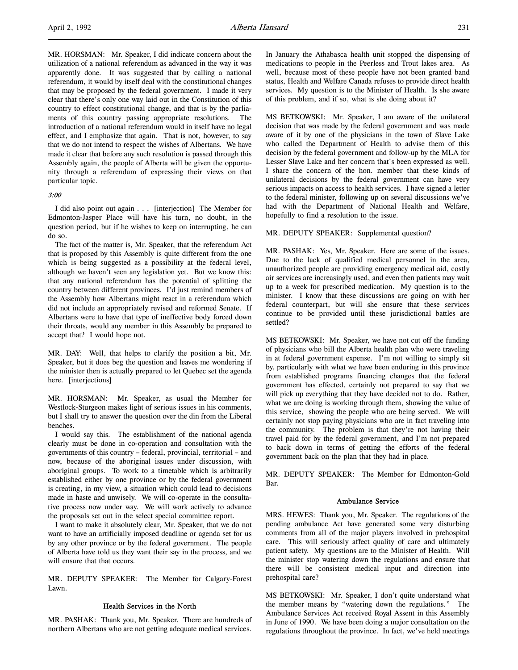MR. HORSMAN: Mr. Speaker, I did indicate concern about the utilization of a national referendum as advanced in the way it was apparently done. It was suggested that by calling a national referendum, it would by itself deal with the constitutional changes that may be proposed by the federal government. I made it very clear that there's only one way laid out in the Constitution of this country to effect constitutional change, and that is by the parliaments of this country passing appropriate resolutions. The introduction of a national referendum would in itself have no legal effect, and I emphasize that again. That is not, however, to say that we do not intend to respect the wishes of Albertans. We have made it clear that before any such resolution is passed through this Assembly again, the people of Alberta will be given the opportunity through a referendum of expressing their views on that particular topic.

## 3:00

I did also point out again . . . [interjection] The Member for Edmonton-Jasper Place will have his turn, no doubt, in the question period, but if he wishes to keep on interrupting, he can do so.

The fact of the matter is, Mr. Speaker, that the referendum Act that is proposed by this Assembly is quite different from the one which is being suggested as a possibility at the federal level, although we haven't seen any legislation yet. But we know this: that any national referendum has the potential of splitting the country between different provinces. I'd just remind members of the Assembly how Albertans might react in a referendum which did not include an appropriately revised and reformed Senate. If Albertans were to have that type of ineffective body forced down their throats, would any member in this Assembly be prepared to accept that? I would hope not.

MR. DAY: Well, that helps to clarify the position a bit, Mr. Speaker, but it does beg the question and leaves me wondering if the minister then is actually prepared to let Quebec set the agenda here. [interjections]

MR. HORSMAN: Mr. Speaker, as usual the Member for Westlock-Sturgeon makes light of serious issues in his comments, but I shall try to answer the question over the din from the Liberal benches.

I would say this. The establishment of the national agenda clearly must be done in co-operation and consultation with the governments of this country – federal, provincial, territorial – and now, because of the aboriginal issues under discussion, with aboriginal groups. To work to a timetable which is arbitrarily established either by one province or by the federal government is creating, in my view, a situation which could lead to decisions made in haste and unwisely. We will co-operate in the consultative process now under way. We will work actively to advance the proposals set out in the select special committee report.

I want to make it absolutely clear, Mr. Speaker, that we do not want to have an artificially imposed deadline or agenda set for us by any other province or by the federal government. The people of Alberta have told us they want their say in the process, and we will ensure that that occurs.

MR. DEPUTY SPEAKER: The Member for Calgary-Forest Lawn.

### Health Services in the North

MR. PASHAK: Thank you, Mr. Speaker. There are hundreds of northern Albertans who are not getting adequate medical services. In January the Athabasca health unit stopped the dispensing of medications to people in the Peerless and Trout lakes area. As well, because most of these people have not been granted band status, Health and Welfare Canada refuses to provide direct health services. My question is to the Minister of Health. Is she aware of this problem, and if so, what is she doing about it?

MS BETKOWSKI: Mr. Speaker, I am aware of the unilateral decision that was made by the federal government and was made aware of it by one of the physicians in the town of Slave Lake who called the Department of Health to advise them of this decision by the federal government and follow-up by the MLA for Lesser Slave Lake and her concern that's been expressed as well. I share the concern of the hon. member that these kinds of unilateral decisions by the federal government can have very serious impacts on access to health services. I have signed a letter to the federal minister, following up on several discussions we've had with the Department of National Health and Welfare, hopefully to find a resolution to the issue.

## MR. DEPUTY SPEAKER: Supplemental question?

MR. PASHAK: Yes, Mr. Speaker. Here are some of the issues. Due to the lack of qualified medical personnel in the area, unauthorized people are providing emergency medical aid, costly air services are increasingly used, and even then patients may wait up to a week for prescribed medication. My question is to the minister. I know that these discussions are going on with her federal counterpart, but will she ensure that these services continue to be provided until these jurisdictional battles are settled?

MS BETKOWSKI: Mr. Speaker, we have not cut off the funding of physicians who bill the Alberta health plan who were traveling in at federal government expense. I'm not willing to simply sit by, particularly with what we have been enduring in this province from established programs financing changes that the federal government has effected, certainly not prepared to say that we will pick up everything that they have decided not to do. Rather, what we are doing is working through them, showing the value of this service, showing the people who are being served. We will certainly not stop paying physicians who are in fact traveling into the community. The problem is that they're not having their travel paid for by the federal government, and I'm not prepared to back down in terms of getting the efforts of the federal government back on the plan that they had in place.

MR. DEPUTY SPEAKER: The Member for Edmonton-Gold Bar.

### Ambulance Service

MRS. HEWES: Thank you, Mr. Speaker. The regulations of the pending ambulance Act have generated some very disturbing comments from all of the major players involved in prehospital care. This will seriously affect quality of care and ultimately patient safety. My questions are to the Minister of Health. Will the minister stop watering down the regulations and ensure that there will be consistent medical input and direction into prehospital care?

MS BETKOWSKI: Mr. Speaker, I don't quite understand what the member means by "watering down the regulations." The Ambulance Services Act received Royal Assent in this Assembly in June of 1990. We have been doing a major consultation on the regulations throughout the province. In fact, we've held meetings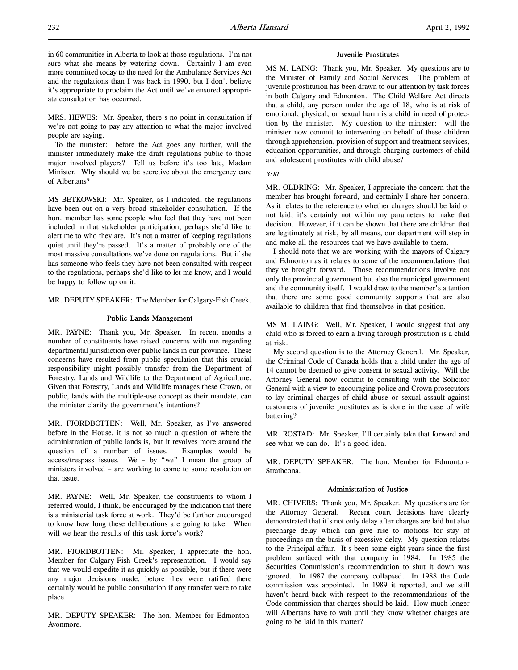in 60 communities in Alberta to look at those regulations. I'm not sure what she means by watering down. Certainly I am even more committed today to the need for the Ambulance Services Act and the regulations than I was back in 1990, but I don't believe it's appropriate to proclaim the Act until we've ensured appropriate consultation has occurred.

MRS. HEWES: Mr. Speaker, there's no point in consultation if we're not going to pay any attention to what the major involved people are saying.

To the minister: before the Act goes any further, will the minister immediately make the draft regulations public to those major involved players? Tell us before it's too late, Madam Minister. Why should we be secretive about the emergency care of Albertans?

MS BETKOWSKI: Mr. Speaker, as I indicated, the regulations have been out on a very broad stakeholder consultation. If the hon. member has some people who feel that they have not been included in that stakeholder participation, perhaps she'd like to alert me to who they are. It's not a matter of keeping regulations quiet until they're passed. It's a matter of probably one of the most massive consultations we've done on regulations. But if she has someone who feels they have not been consulted with respect to the regulations, perhaps she'd like to let me know, and I would be happy to follow up on it.

MR. DEPUTY SPEAKER: The Member for Calgary-Fish Creek.

#### Public Lands Management

MR. PAYNE: Thank you, Mr. Speaker. In recent months a number of constituents have raised concerns with me regarding departmental jurisdiction over public lands in our province. These concerns have resulted from public speculation that this crucial responsibility might possibly transfer from the Department of Forestry, Lands and Wildlife to the Department of Agriculture. Given that Forestry, Lands and Wildlife manages these Crown, or public, lands with the multiple-use concept as their mandate, can the minister clarify the government's intentions?

MR. FJORDBOTTEN: Well, Mr. Speaker, as I've answered before in the House, it is not so much a question of where the administration of public lands is, but it revolves more around the question of a number of issues. Examples would be access/trespass issues. We – by "we" I mean the group of ministers involved – are working to come to some resolution on that issue.

MR. PAYNE: Well, Mr. Speaker, the constituents to whom I referred would, I think, be encouraged by the indication that there is a ministerial task force at work. They'd be further encouraged to know how long these deliberations are going to take. When will we hear the results of this task force's work?

MR. FJORDBOTTEN: Mr. Speaker, I appreciate the hon. Member for Calgary-Fish Creek's representation. I would say that we would expedite it as quickly as possible, but if there were any major decisions made, before they were ratified there certainly would be public consultation if any transfer were to take place.

MR. DEPUTY SPEAKER: The hon. Member for Edmonton-Avonmore.

### Juvenile Prostitutes

MS M. LAING: Thank you, Mr. Speaker. My questions are to the Minister of Family and Social Services. The problem of juvenile prostitution has been drawn to our attention by task forces in both Calgary and Edmonton. The Child Welfare Act directs that a child, any person under the age of 18, who is at risk of emotional, physical, or sexual harm is a child in need of protection by the minister. My question to the minister: will the minister now commit to intervening on behalf of these children through apprehension, provision of support and treatment services, education opportunities, and through charging customers of child and adolescent prostitutes with child abuse?

#### 3:10

MR. OLDRING: Mr. Speaker, I appreciate the concern that the member has brought forward, and certainly I share her concern. As it relates to the reference to whether charges should be laid or not laid, it's certainly not within my parameters to make that decision. However, if it can be shown that there are children that are legitimately at risk, by all means, our department will step in and make all the resources that we have available to them.

I should note that we are working with the mayors of Calgary and Edmonton as it relates to some of the recommendations that they've brought forward. Those recommendations involve not only the provincial government but also the municipal government and the community itself. I would draw to the member's attention that there are some good community supports that are also available to children that find themselves in that position.

MS M. LAING: Well, Mr. Speaker, I would suggest that any child who is forced to earn a living through prostitution is a child at risk.

My second question is to the Attorney General. Mr. Speaker, the Criminal Code of Canada holds that a child under the age of 14 cannot be deemed to give consent to sexual activity. Will the Attorney General now commit to consulting with the Solicitor General with a view to encouraging police and Crown prosecutors to lay criminal charges of child abuse or sexual assault against customers of juvenile prostitutes as is done in the case of wife battering?

MR. ROSTAD: Mr. Speaker, I'll certainly take that forward and see what we can do. It's a good idea.

MR. DEPUTY SPEAKER: The hon. Member for Edmonton-Strathcona.

### Administration of Justice

MR. CHIVERS: Thank you, Mr. Speaker. My questions are for the Attorney General. Recent court decisions have clearly demonstrated that it's not only delay after charges are laid but also precharge delay which can give rise to motions for stay of proceedings on the basis of excessive delay. My question relates to the Principal affair. It's been some eight years since the first problem surfaced with that company in 1984. In 1985 the Securities Commission's recommendation to shut it down was ignored. In 1987 the company collapsed. In 1988 the Code commission was appointed. In 1989 it reported, and we still haven't heard back with respect to the recommendations of the Code commission that charges should be laid. How much longer will Albertans have to wait until they know whether charges are going to be laid in this matter?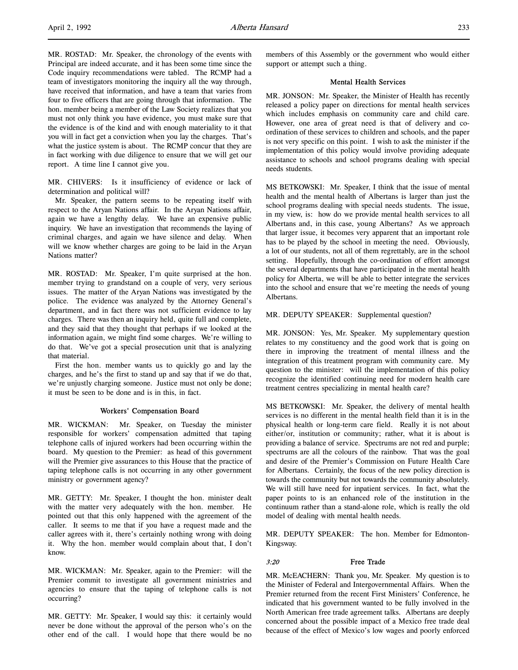MR. ROSTAD: Mr. Speaker, the chronology of the events with Principal are indeed accurate, and it has been some time since the Code inquiry recommendations were tabled. The RCMP had a team of investigators monitoring the inquiry all the way through, have received that information, and have a team that varies from four to five officers that are going through that information. The hon. member being a member of the Law Society realizes that you must not only think you have evidence, you must make sure that the evidence is of the kind and with enough materiality to it that you will in fact get a conviction when you lay the charges. That's what the justice system is about. The RCMP concur that they are in fact working with due diligence to ensure that we will get our report. A time line I cannot give you.

MR. CHIVERS: Is it insufficiency of evidence or lack of determination and political will?

Mr. Speaker, the pattern seems to be repeating itself with respect to the Aryan Nations affair. In the Aryan Nations affair, again we have a lengthy delay. We have an expensive public inquiry. We have an investigation that recommends the laying of criminal charges, and again we have silence and delay. When will we know whether charges are going to be laid in the Aryan Nations matter?

MR. ROSTAD: Mr. Speaker, I'm quite surprised at the hon. member trying to grandstand on a couple of very, very serious issues. The matter of the Aryan Nations was investigated by the police. The evidence was analyzed by the Attorney General's department, and in fact there was not sufficient evidence to lay charges. There was then an inquiry held, quite full and complete, and they said that they thought that perhaps if we looked at the information again, we might find some charges. We're willing to do that. We've got a special prosecution unit that is analyzing that material.

First the hon. member wants us to quickly go and lay the charges, and he's the first to stand up and say that if we do that, we're unjustly charging someone. Justice must not only be done; it must be seen to be done and is in this, in fact.

### Workers' Compensation Board

MR. WICKMAN: Mr. Speaker, on Tuesday the minister responsible for workers' compensation admitted that taping telephone calls of injured workers had been occurring within the board. My question to the Premier: as head of this government will the Premier give assurances to this House that the practice of taping telephone calls is not occurring in any other government ministry or government agency?

MR. GETTY: Mr. Speaker, I thought the hon. minister dealt with the matter very adequately with the hon. member. He pointed out that this only happened with the agreement of the caller. It seems to me that if you have a request made and the caller agrees with it, there's certainly nothing wrong with doing it. Why the hon. member would complain about that, I don't know.

MR. WICKMAN: Mr. Speaker, again to the Premier: will the Premier commit to investigate all government ministries and agencies to ensure that the taping of telephone calls is not occurring?

MR. GETTY: Mr. Speaker, I would say this: it certainly would never be done without the approval of the person who's on the other end of the call. I would hope that there would be no

members of this Assembly or the government who would either support or attempt such a thing.

### Mental Health Services

MR. JONSON: Mr. Speaker, the Minister of Health has recently released a policy paper on directions for mental health services which includes emphasis on community care and child care. However, one area of great need is that of delivery and coordination of these services to children and schools, and the paper is not very specific on this point. I wish to ask the minister if the implementation of this policy would involve providing adequate assistance to schools and school programs dealing with special needs students.

MS BETKOWSKI: Mr. Speaker, I think that the issue of mental health and the mental health of Albertans is larger than just the school programs dealing with special needs students. The issue, in my view, is: how do we provide mental health services to all Albertans and, in this case, young Albertans? As we approach that larger issue, it becomes very apparent that an important role has to be played by the school in meeting the need. Obviously, a lot of our students, not all of them regrettably, are in the school setting. Hopefully, through the co-ordination of effort amongst the several departments that have participated in the mental health policy for Alberta, we will be able to better integrate the services into the school and ensure that we're meeting the needs of young Albertans.

MR. DEPUTY SPEAKER: Supplemental question?

MR. JONSON: Yes, Mr. Speaker. My supplementary question relates to my constituency and the good work that is going on there in improving the treatment of mental illness and the integration of this treatment program with community care. My question to the minister: will the implementation of this policy recognize the identified continuing need for modern health care treatment centres specializing in mental health care?

MS BETKOWSKI: Mr. Speaker, the delivery of mental health services is no different in the mental health field than it is in the physical health or long-term care field. Really it is not about either/or, institution or community; rather, what it is about is providing a balance of service. Spectrums are not red and purple; spectrums are all the colours of the rainbow. That was the goal and desire of the Premier's Commission on Future Health Care for Albertans. Certainly, the focus of the new policy direction is towards the community but not towards the community absolutely. We will still have need for inpatient services. In fact, what the paper points to is an enhanced role of the institution in the continuum rather than a stand-alone role, which is really the old model of dealing with mental health needs.

MR. DEPUTY SPEAKER: The hon. Member for Edmonton-Kingsway.

#### 3:20 Free Trade

MR. McEACHERN: Thank you, Mr. Speaker. My question is to the Minister of Federal and Intergovernmental Affairs. When the Premier returned from the recent First Ministers' Conference, he indicated that his government wanted to be fully involved in the North American free trade agreement talks. Albertans are deeply concerned about the possible impact of a Mexico free trade deal because of the effect of Mexico's low wages and poorly enforced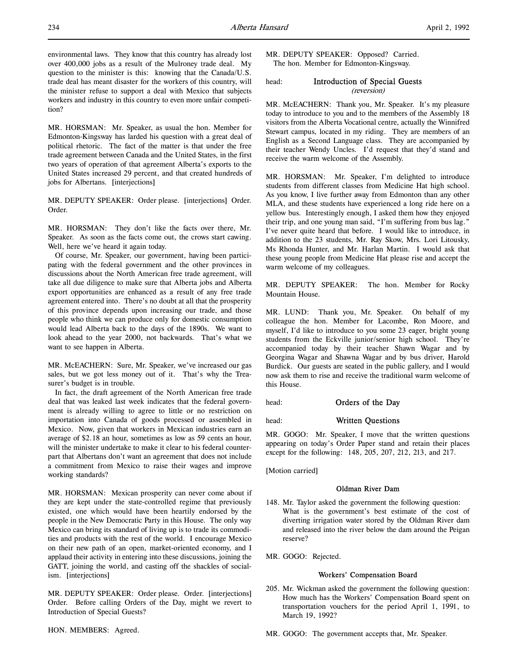environmental laws. They know that this country has already lost over 400,000 jobs as a result of the Mulroney trade deal. My question to the minister is this: knowing that the Canada/U.S. trade deal has meant disaster for the workers of this country, will the minister refuse to support a deal with Mexico that subjects workers and industry in this country to even more unfair competition?

MR. HORSMAN: Mr. Speaker, as usual the hon. Member for Edmonton-Kingsway has larded his question with a great deal of political rhetoric. The fact of the matter is that under the free trade agreement between Canada and the United States, in the first two years of operation of that agreement Alberta's exports to the United States increased 29 percent, and that created hundreds of jobs for Albertans. [interjections]

MR. DEPUTY SPEAKER: Order please. [interjections] Order. Order.

MR. HORSMAN: They don't like the facts over there, Mr. Speaker. As soon as the facts come out, the crows start cawing. Well, here we've heard it again today.

Of course, Mr. Speaker, our government, having been participating with the federal government and the other provinces in discussions about the North American free trade agreement, will take all due diligence to make sure that Alberta jobs and Alberta export opportunities are enhanced as a result of any free trade agreement entered into. There's no doubt at all that the prosperity of this province depends upon increasing our trade, and those people who think we can produce only for domestic consumption would lead Alberta back to the days of the 1890s. We want to look ahead to the year 2000, not backwards. That's what we want to see happen in Alberta.

MR. McEACHERN: Sure, Mr. Speaker, we've increased our gas sales, but we got less money out of it. That's why the Treasurer's budget is in trouble.

In fact, the draft agreement of the North American free trade deal that was leaked last week indicates that the federal government is already willing to agree to little or no restriction on importation into Canada of goods processed or assembled in Mexico. Now, given that workers in Mexican industries earn an average of \$2.18 an hour, sometimes as low as 59 cents an hour, will the minister undertake to make it clear to his federal counterpart that Albertans don't want an agreement that does not include a commitment from Mexico to raise their wages and improve working standards?

MR. HORSMAN: Mexican prosperity can never come about if they are kept under the state-controlled regime that previously existed, one which would have been heartily endorsed by the people in the New Democratic Party in this House. The only way Mexico can bring its standard of living up is to trade its commodities and products with the rest of the world. I encourage Mexico on their new path of an open, market-oriented economy, and I applaud their activity in entering into these discussions, joining the GATT, joining the world, and casting off the shackles of socialism. [interjections]

MR. DEPUTY SPEAKER: Order please. Order. [interjections] Order. Before calling Orders of the Day, might we revert to Introduction of Special Guests?

MR. DEPUTY SPEAKER: Opposed? Carried. The hon. Member for Edmonton-Kingsway.

# head: Introduction of Special Guests (reversion)

MR. McEACHERN: Thank you, Mr. Speaker. It's my pleasure today to introduce to you and to the members of the Assembly 18 visitors from the Alberta Vocational centre, actually the Winnifred Stewart campus, located in my riding. They are members of an English as a Second Language class. They are accompanied by their teacher Wendy Uncles. I'd request that they'd stand and receive the warm welcome of the Assembly.

MR. HORSMAN: Mr. Speaker, I'm delighted to introduce students from different classes from Medicine Hat high school. As you know, I live further away from Edmonton than any other MLA, and these students have experienced a long ride here on a yellow bus. Interestingly enough, I asked them how they enjoyed their trip, and one young man said, "I'm suffering from bus lag." I've never quite heard that before. I would like to introduce, in addition to the 23 students, Mr. Ray Skow, Mrs. Lori Litousky, Ms Rhonda Hunter, and Mr. Harlan Martin. I would ask that these young people from Medicine Hat please rise and accept the warm welcome of my colleagues.

MR. DEPUTY SPEAKER: The hon. Member for Rocky Mountain House.

MR. LUND: Thank you, Mr. Speaker. On behalf of my colleague the hon. Member for Lacombe, Ron Moore, and myself, I'd like to introduce to you some 23 eager, bright young students from the Eckville junior/senior high school. They're accompanied today by their teacher Shawn Wagar and by Georgina Wagar and Shawna Wagar and by bus driver, Harold Burdick. Our guests are seated in the public gallery, and I would now ask them to rise and receive the traditional warm welcome of this House.

head: **Orders of the Day** 

head: Written Questions

MR. GOGO: Mr. Speaker, I move that the written questions appearing on today's Order Paper stand and retain their places except for the following: 148, 205, 207, 212, 213, and 217.

[Motion carried]

# Oldman River Dam

148. Mr. Taylor asked the government the following question: What is the government's best estimate of the cost of diverting irrigation water stored by the Oldman River dam and released into the river below the dam around the Peigan reserve?

MR. GOGO: Rejected.

### Workers' Compensation Board

205. Mr. Wickman asked the government the following question: How much has the Workers' Compensation Board spent on transportation vouchers for the period April 1, 1991, to March 19, 1992?

MR. GOGO: The government accepts that, Mr. Speaker.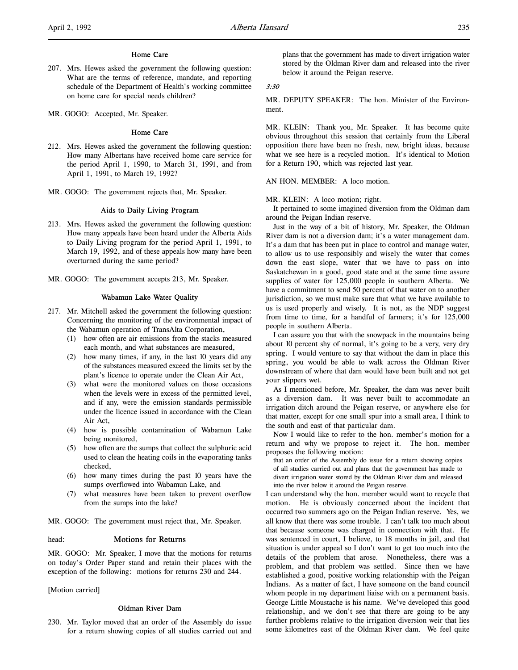207. Mrs. Hewes asked the government the following question: What are the terms of reference, mandate, and reporting schedule of the Department of Health's working committee on home care for special needs children?

MR. GOGO: Accepted, Mr. Speaker.

### Home Care

- 212. Mrs. Hewes asked the government the following question: How many Albertans have received home care service for the period April 1, 1990, to March 31, 1991, and from April 1, 1991, to March 19, 1992?
- MR. GOGO: The government rejects that, Mr. Speaker.

### Aids to Daily Living Program

- 213. Mrs. Hewes asked the government the following question: How many appeals have been heard under the Alberta Aids to Daily Living program for the period April 1, 1991, to March 19, 1992, and of these appeals how many have been overturned during the same period?
- MR. GOGO: The government accepts 213, Mr. Speaker.

### Wabamun Lake Water Quality

- 217. Mr. Mitchell asked the government the following question: Concerning the monitoring of the environmental impact of the Wabamun operation of TransAlta Corporation,
	- (1) how often are air emissions from the stacks measured each month, and what substances are measured,
	- (2) how many times, if any, in the last 10 years did any of the substances measured exceed the limits set by the plant's licence to operate under the Clean Air Act,
	- (3) what were the monitored values on those occasions when the levels were in excess of the permitted level, and if any, were the emission standards permissible under the licence issued in accordance with the Clean Air Act,
	- (4) how is possible contamination of Wabamun Lake being monitored,
	- (5) how often are the sumps that collect the sulphuric acid used to clean the heating coils in the evaporating tanks checked,
	- (6) how many times during the past 10 years have the sumps overflowed into Wabamun Lake, and
	- (7) what measures have been taken to prevent overflow from the sumps into the lake?

MR. GOGO: The government must reject that, Mr. Speaker.

### head: **Motions for Returns**

MR. GOGO: Mr. Speaker, I move that the motions for returns on today's Order Paper stand and retain their places with the exception of the following: motions for returns 230 and 244.

[Motion carried]

# Oldman River Dam

230. Mr. Taylor moved that an order of the Assembly do issue for a return showing copies of all studies carried out and

plans that the government has made to divert irrigation water stored by the Oldman River dam and released into the river below it around the Peigan reserve.

#### 3:30

MR. DEPUTY SPEAKER: The hon. Minister of the Environment.

MR. KLEIN: Thank you, Mr. Speaker. It has become quite obvious throughout this session that certainly from the Liberal opposition there have been no fresh, new, bright ideas, because what we see here is a recycled motion. It's identical to Motion for a Return 190, which was rejected last year.

### AN HON. MEMBER: A loco motion.

MR. KLEIN: A loco motion; right.

It pertained to some imagined diversion from the Oldman dam around the Peigan Indian reserve.

Just in the way of a bit of history, Mr. Speaker, the Oldman River dam is not a diversion dam; it's a water management dam. It's a dam that has been put in place to control and manage water, to allow us to use responsibly and wisely the water that comes down the east slope, water that we have to pass on into Saskatchewan in a good, good state and at the same time assure supplies of water for 125,000 people in southern Alberta. We have a commitment to send 50 percent of that water on to another jurisdiction, so we must make sure that what we have available to us is used properly and wisely. It is not, as the NDP suggest from time to time, for a handful of farmers; it's for 125,000 people in southern Alberta.

I can assure you that with the snowpack in the mountains being about 10 percent shy of normal, it's going to be a very, very dry spring. I would venture to say that without the dam in place this spring, you would be able to walk across the Oldman River downstream of where that dam would have been built and not get your slippers wet.

As I mentioned before, Mr. Speaker, the dam was never built as a diversion dam. It was never built to accommodate an irrigation ditch around the Peigan reserve, or anywhere else for that matter, except for one small spur into a small area, I think to the south and east of that particular dam.

Now I would like to refer to the hon. member's motion for a return and why we propose to reject it. The hon. member proposes the following motion:

that an order of the Assembly do issue for a return showing copies of all studies carried out and plans that the government has made to divert irrigation water stored by the Oldman River dam and released into the river below it around the Peigan reserve.

I can understand why the hon. member would want to recycle that motion. He is obviously concerned about the incident that occurred two summers ago on the Peigan Indian reserve. Yes, we all know that there was some trouble. I can't talk too much about that because someone was charged in connection with that. He was sentenced in court, I believe, to 18 months in jail, and that situation is under appeal so I don't want to get too much into the details of the problem that arose. Nonetheless, there was a problem, and that problem was settled. Since then we have established a good, positive working relationship with the Peigan Indians. As a matter of fact, I have someone on the band council whom people in my department liaise with on a permanent basis. George Little Moustache is his name. We've developed this good relationship, and we don't see that there are going to be any further problems relative to the irrigation diversion weir that lies some kilometres east of the Oldman River dam. We feel quite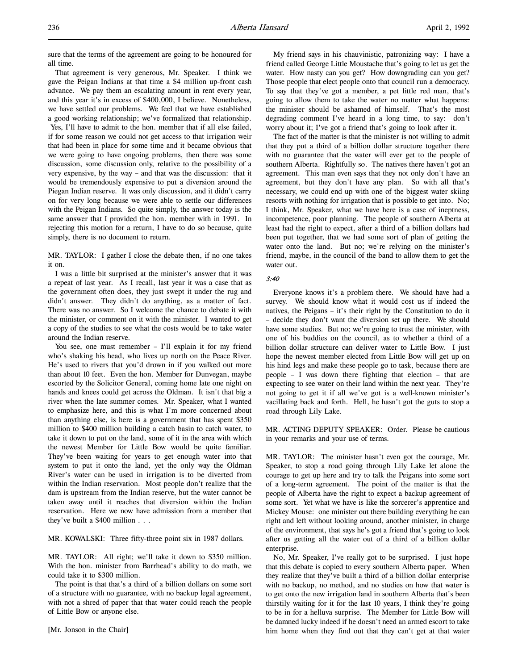sure that the terms of the agreement are going to be honoured for all time.

That agreement is very generous, Mr. Speaker. I think we gave the Peigan Indians at that time a \$4 million up-front cash advance. We pay them an escalating amount in rent every year, and this year it's in excess of \$400,000, I believe. Nonetheless, we have settled our problems. We feel that we have established a good working relationship; we've formalized that relationship. Yes, I'll have to admit to the hon. member that if all else failed, if for some reason we could not get access to that irrigation weir that had been in place for some time and it became obvious that we were going to have ongoing problems, then there was some discussion, some discussion only, relative to the possibility of a very expensive, by the way – and that was the discussion: that it would be tremendously expensive to put a diversion around the Piegan Indian reserve. It was only discussion, and it didn't carry on for very long because we were able to settle our differences with the Peigan Indians. So quite simply, the answer today is the same answer that I provided the hon. member with in 1991. In rejecting this motion for a return, I have to do so because, quite simply, there is no document to return.

MR. TAYLOR: I gather I close the debate then, if no one takes it on.

I was a little bit surprised at the minister's answer that it was a repeat of last year. As I recall, last year it was a case that as the government often does, they just swept it under the rug and didn't answer. They didn't do anything, as a matter of fact. There was no answer. So I welcome the chance to debate it with the minister, or comment on it with the minister. I wanted to get a copy of the studies to see what the costs would be to take water around the Indian reserve.

You see, one must remember - I'll explain it for my friend who's shaking his head, who lives up north on the Peace River. He's used to rivers that you'd drown in if you walked out more than about 10 feet. Even the hon. Member for Dunvegan, maybe escorted by the Solicitor General, coming home late one night on hands and knees could get across the Oldman. It isn't that big a river when the late summer comes. Mr. Speaker, what I wanted to emphasize here, and this is what I'm more concerned about than anything else, is here is a government that has spent \$350 million to \$400 million building a catch basin to catch water, to take it down to put on the land, some of it in the area with which the newest Member for Little Bow would be quite familiar. They've been waiting for years to get enough water into that system to put it onto the land, yet the only way the Oldman River's water can be used in irrigation is to be diverted from within the Indian reservation. Most people don't realize that the dam is upstream from the Indian reserve, but the water cannot be taken away until it reaches that diversion within the Indian reservation. Here we now have admission from a member that they've built a \$400 million . . .

MR. KOWALSKI: Three fifty-three point six in 1987 dollars.

MR. TAYLOR: All right; we'll take it down to \$350 million. With the hon. minister from Barrhead's ability to do math, we could take it to \$300 million.

The point is that that's a third of a billion dollars on some sort of a structure with no guarantee, with no backup legal agreement, with not a shred of paper that that water could reach the people of Little Bow or anyone else.

My friend says in his chauvinistic, patronizing way: I have a friend called George Little Moustache that's going to let us get the water. How nasty can you get? How downgrading can you get? Those people that elect people onto that council run a democracy. To say that they've got a member, a pet little red man, that's going to allow them to take the water no matter what happens: the minister should be ashamed of himself. That's the most degrading comment I've heard in a long time, to say: don't worry about it; I've got a friend that's going to look after it.

The fact of the matter is that the minister is not willing to admit that they put a third of a billion dollar structure together there with no guarantee that the water will ever get to the people of southern Alberta. Rightfully so. The natives there haven't got an agreement. This man even says that they not only don't have an agreement, but they don't have any plan. So with all that's necessary, we could end up with one of the biggest water skiing resorts with nothing for irrigation that is possible to get into. No; I think, Mr. Speaker, what we have here is a case of ineptness, incompetence, poor planning. The people of southern Alberta at least had the right to expect, after a third of a billion dollars had been put together, that we had some sort of plan of getting the water onto the land. But no; we're relying on the minister's friend, maybe, in the council of the band to allow them to get the water out.

### 3:40

Everyone knows it's a problem there. We should have had a survey. We should know what it would cost us if indeed the natives, the Peigans – it's their right by the Constitution to do it – decide they don't want the diversion set up there. We should have some studies. But no; we're going to trust the minister, with one of his buddies on the council, as to whether a third of a billion dollar structure can deliver water to Little Bow. I just hope the newest member elected from Little Bow will get up on his hind legs and make these people go to task, because there are people – I was down there fighting that election – that are expecting to see water on their land within the next year. They're not going to get it if all we've got is a well-known minister's vacillating back and forth. Hell, he hasn't got the guts to stop a road through Lily Lake.

MR. ACTING DEPUTY SPEAKER: Order. Please be cautious in your remarks and your use of terms.

MR. TAYLOR: The minister hasn't even got the courage, Mr. Speaker, to stop a road going through Lily Lake let alone the courage to get up here and try to talk the Peigans into some sort of a long-term agreement. The point of the matter is that the people of Alberta have the right to expect a backup agreement of some sort. Yet what we have is like the sorcerer's apprentice and Mickey Mouse: one minister out there building everything he can right and left without looking around, another minister, in charge of the environment, that says he's got a friend that's going to look after us getting all the water out of a third of a billion dollar enterprise.

No, Mr. Speaker, I've really got to be surprised. I just hope that this debate is copied to every southern Alberta paper. When they realize that they've built a third of a billion dollar enterprise with no backup, no method, and no studies on how that water is to get onto the new irrigation land in southern Alberta that's been thirstily waiting for it for the last 10 years, I think they're going to be in for a helluva surprise. The Member for Little Bow will be damned lucky indeed if he doesn't need an armed escort to take him home when they find out that they can't get at that water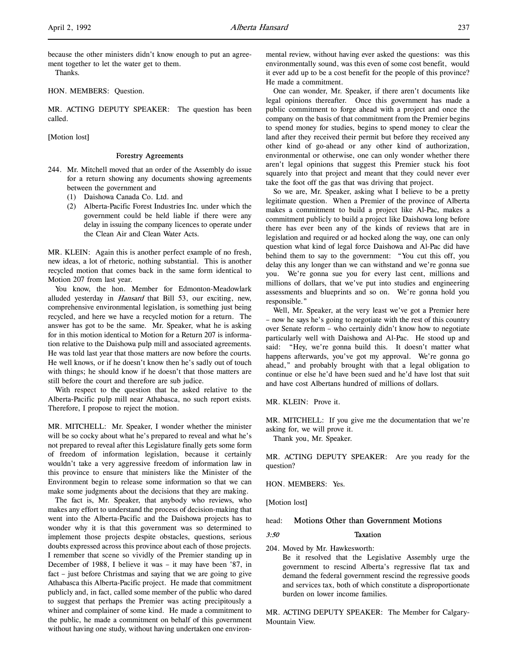because the other ministers didn't know enough to put an agreement together to let the water get to them.

Thanks.

HON. MEMBERS: Question.

MR. ACTING DEPUTY SPEAKER: The question has been called.

[Motion lost]

#### Forestry Agreements

- 244. Mr. Mitchell moved that an order of the Assembly do issue for a return showing any documents showing agreements between the government and
	- (1) Daishowa Canada Co. Ltd. and
	- (2) Alberta-Pacific Forest Industries Inc. under which the government could be held liable if there were any delay in issuing the company licences to operate under the Clean Air and Clean Water Acts.

MR. KLEIN: Again this is another perfect example of no fresh, new ideas, a lot of rhetoric, nothing substantial. This is another recycled motion that comes back in the same form identical to Motion 207 from last year.

You know, the hon. Member for Edmonton-Meadowlark alluded yesterday in *Hansard* that Bill 53, our exciting, new, comprehensive environmental legislation, is something just being recycled, and here we have a recycled motion for a return. The answer has got to be the same. Mr. Speaker, what he is asking for in this motion identical to Motion for a Return 207 is information relative to the Daishowa pulp mill and associated agreements. He was told last year that those matters are now before the courts. He well knows, or if he doesn't know then he's sadly out of touch with things; he should know if he doesn't that those matters are still before the court and therefore are sub judice.

With respect to the question that he asked relative to the Alberta-Pacific pulp mill near Athabasca, no such report exists. Therefore, I propose to reject the motion.

MR. MITCHELL: Mr. Speaker, I wonder whether the minister will be so cocky about what he's prepared to reveal and what he's not prepared to reveal after this Legislature finally gets some form of freedom of information legislation, because it certainly wouldn't take a very aggressive freedom of information law in this province to ensure that ministers like the Minister of the Environment begin to release some information so that we can make some judgments about the decisions that they are making.

The fact is, Mr. Speaker, that anybody who reviews, who makes any effort to understand the process of decision-making that went into the Alberta-Pacific and the Daishowa projects has to wonder why it is that this government was so determined to implement those projects despite obstacles, questions, serious doubts expressed across this province about each of those projects. I remember that scene so vividly of the Premier standing up in December of 1988, I believe it was – it may have been '87, in fact – just before Christmas and saying that we are going to give Athabasca this Alberta-Pacific project. He made that commitment publicly and, in fact, called some member of the public who dared to suggest that perhaps the Premier was acting precipitously a whiner and complainer of some kind. He made a commitment to the public, he made a commitment on behalf of this government without having one study, without having undertaken one environmental review, without having ever asked the questions: was this environmentally sound, was this even of some cost benefit, would it ever add up to be a cost benefit for the people of this province? He made a commitment.

One can wonder, Mr. Speaker, if there aren't documents like legal opinions thereafter. Once this government has made a public commitment to forge ahead with a project and once the company on the basis of that commitment from the Premier begins to spend money for studies, begins to spend money to clear the land after they received their permit but before they received any other kind of go-ahead or any other kind of authorization, environmental or otherwise, one can only wonder whether there aren't legal opinions that suggest this Premier stuck his foot squarely into that project and meant that they could never ever take the foot off the gas that was driving that project.

So we are, Mr. Speaker, asking what I believe to be a pretty legitimate question. When a Premier of the province of Alberta makes a commitment to build a project like Al-Pac, makes a commitment publicly to build a project like Daishowa long before there has ever been any of the kinds of reviews that are in legislation and required or ad hocked along the way, one can only question what kind of legal force Daishowa and Al-Pac did have behind them to say to the government: "You cut this off, you delay this any longer than we can withstand and we're gonna sue you. We're gonna sue you for every last cent, millions and millions of dollars, that we've put into studies and engineering assessments and blueprints and so on. We're gonna hold you responsible."

Well, Mr. Speaker, at the very least we've got a Premier here – now he says he's going to negotiate with the rest of this country over Senate reform – who certainly didn't know how to negotiate particularly well with Daishowa and Al-Pac. He stood up and said: "Hey, we're gonna build this. It doesn't matter what happens afterwards, you've got my approval. We're gonna go ahead," and probably brought with that a legal obligation to continue or else he'd have been sued and he'd have lost that suit and have cost Albertans hundred of millions of dollars.

MR. KLEIN: Prove it.

MR. MITCHELL: If you give me the documentation that we're asking for, we will prove it.

Thank you, Mr. Speaker.

MR. ACTING DEPUTY SPEAKER: Are you ready for the question?

HON. MEMBERS: Yes.

[Motion lost]

## head: Motions Other than Government Motions

#### 3:50 Taxation

204. Moved by Mr. Hawkesworth:

Be it resolved that the Legislative Assembly urge the government to rescind Alberta's regressive flat tax and demand the federal government rescind the regressive goods and services tax, both of which constitute a disproportionate burden on lower income families.

MR. ACTING DEPUTY SPEAKER: The Member for Calgary-Mountain View.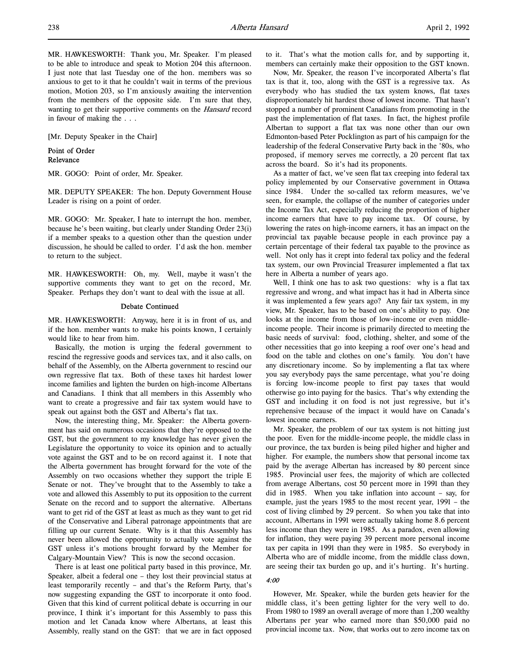MR. HAWKESWORTH: Thank you, Mr. Speaker. I'm pleased to be able to introduce and speak to Motion 204 this afternoon. I just note that last Tuesday one of the hon. members was so anxious to get to it that he couldn't wait in terms of the previous motion, Motion 203, so I'm anxiously awaiting the intervention from the members of the opposite side. I'm sure that they, wanting to get their supportive comments on the Hansard record in favour of making the . . .

[Mr. Deputy Speaker in the Chair]

# Point of Order Relevance

MR. GOGO: Point of order, Mr. Speaker.

MR. DEPUTY SPEAKER: The hon. Deputy Government House Leader is rising on a point of order.

MR. GOGO: Mr. Speaker, I hate to interrupt the hon. member, because he's been waiting, but clearly under Standing Order 23(i) if a member speaks to a question other than the question under discussion, he should be called to order. I'd ask the hon. member to return to the subject.

MR. HAWKESWORTH: Oh, my. Well, maybe it wasn't the supportive comments they want to get on the record, Mr. Speaker. Perhaps they don't want to deal with the issue at all.

### Debate Continued

MR. HAWKESWORTH: Anyway, here it is in front of us, and if the hon. member wants to make his points known, I certainly would like to hear from him.

Basically, the motion is urging the federal government to rescind the regressive goods and services tax, and it also calls, on behalf of the Assembly, on the Alberta government to rescind our own regressive flat tax. Both of these taxes hit hardest lower income families and lighten the burden on high-income Albertans and Canadians. I think that all members in this Assembly who want to create a progressive and fair tax system would have to speak out against both the GST and Alberta's flat tax.

Now, the interesting thing, Mr. Speaker: the Alberta government has said on numerous occasions that they're opposed to the GST, but the government to my knowledge has never given the Legislature the opportunity to voice its opinion and to actually vote against the GST and to be on record against it. I note that the Alberta government has brought forward for the vote of the Assembly on two occasions whether they support the triple E Senate or not. They've brought that to the Assembly to take a vote and allowed this Assembly to put its opposition to the current Senate on the record and to support the alternative. Albertans want to get rid of the GST at least as much as they want to get rid of the Conservative and Liberal patronage appointments that are filling up our current Senate. Why is it that this Assembly has never been allowed the opportunity to actually vote against the GST unless it's motions brought forward by the Member for Calgary-Mountain View? This is now the second occasion.

There is at least one political party based in this province, Mr. Speaker, albeit a federal one – they lost their provincial status at least temporarily recently – and that's the Reform Party, that's now suggesting expanding the GST to incorporate it onto food. Given that this kind of current political debate is occurring in our province, I think it's important for this Assembly to pass this motion and let Canada know where Albertans, at least this Assembly, really stand on the GST: that we are in fact opposed

to it. That's what the motion calls for, and by supporting it, members can certainly make their opposition to the GST known.

Now, Mr. Speaker, the reason I've incorporated Alberta's flat tax is that it, too, along with the GST is a regressive tax. As everybody who has studied the tax system knows, flat taxes disproportionately hit hardest those of lowest income. That hasn't stopped a number of prominent Canadians from promoting in the past the implementation of flat taxes. In fact, the highest profile Albertan to support a flat tax was none other than our own Edmonton-based Peter Pocklington as part of his campaign for the leadership of the federal Conservative Party back in the '80s, who proposed, if memory serves me correctly, a 20 percent flat tax across the board. So it's had its proponents.

As a matter of fact, we've seen flat tax creeping into federal tax policy implemented by our Conservative government in Ottawa since 1984. Under the so-called tax reform measures, we've seen, for example, the collapse of the number of categories under the Income Tax Act, especially reducing the proportion of higher income earners that have to pay income tax. Of course, by lowering the rates on high-income earners, it has an impact on the provincial tax payable because people in each province pay a certain percentage of their federal tax payable to the province as well. Not only has it crept into federal tax policy and the federal tax system, our own Provincial Treasurer implemented a flat tax here in Alberta a number of years ago.

Well, I think one has to ask two questions: why is a flat tax regressive and wrong, and what impact has it had in Alberta since it was implemented a few years ago? Any fair tax system, in my view, Mr. Speaker, has to be based on one's ability to pay. One looks at the income from those of low-income or even middleincome people. Their income is primarily directed to meeting the basic needs of survival: food, clothing, shelter, and some of the other necessities that go into keeping a roof over one's head and food on the table and clothes on one's family. You don't have any discretionary income. So by implementing a flat tax where you say everybody pays the same percentage, what you're doing is forcing low-income people to first pay taxes that would otherwise go into paying for the basics. That's why extending the GST and including it on food is not just regressive, but it's reprehensive because of the impact it would have on Canada's lowest income earners.

Mr. Speaker, the problem of our tax system is not hitting just the poor. Even for the middle-income people, the middle class in our province, the tax burden is being piled higher and higher and higher. For example, the numbers show that personal income tax paid by the average Albertan has increased by 80 percent since 1985. Provincial user fees, the majority of which are collected from average Albertans, cost 50 percent more in 1991 than they did in 1985. When you take inflation into account – say, for example, just the years 1985 to the most recent year, 1991 – the cost of living climbed by 29 percent. So when you take that into account, Albertans in 1991 were actually taking home 8.6 percent less income than they were in 1985. As a paradox, even allowing for inflation, they were paying 39 percent more personal income tax per capita in 1991 than they were in 1985. So everybody in Alberta who are of middle income, from the middle class down, are seeing their tax burden go up, and it's hurting. It's hurting.

## 4:00

However, Mr. Speaker, while the burden gets heavier for the middle class, it's been getting lighter for the very well to do. From 1980 to 1989 an overall average of more than 1,200 wealthy Albertans per year who earned more than \$50,000 paid no provincial income tax. Now, that works out to zero income tax on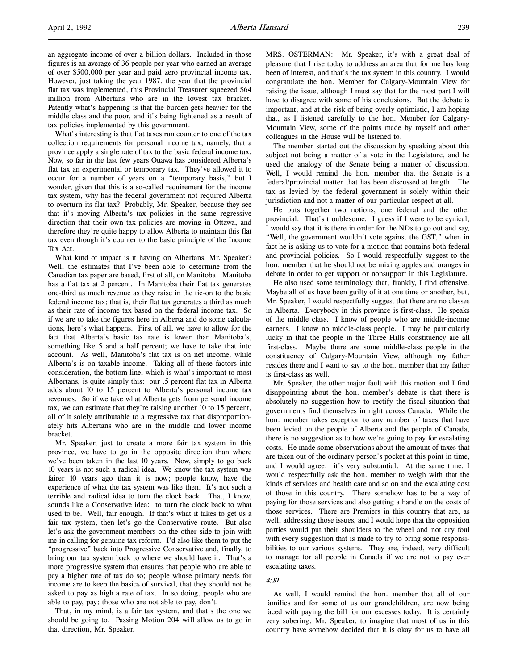an aggregate income of over a billion dollars. Included in those figures is an average of 36 people per year who earned an average of over \$500,000 per year and paid zero provincial income tax. However, just taking the year 1987, the year that the provincial flat tax was implemented, this Provincial Treasurer squeezed \$64 million from Albertans who are in the lowest tax bracket. Patently what's happening is that the burden gets heavier for the middle class and the poor, and it's being lightened as a result of tax policies implemented by this government.

What's interesting is that flat taxes run counter to one of the tax collection requirements for personal income tax; namely, that a province apply a single rate of tax to the basic federal income tax. Now, so far in the last few years Ottawa has considered Alberta's flat tax an experimental or temporary tax. They've allowed it to occur for a number of years on a "temporary basis," but I wonder, given that this is a so-called requirement for the income tax system, why has the federal government not required Alberta to overturn its flat tax? Probably, Mr. Speaker, because they see that it's moving Alberta's tax policies in the same regressive direction that their own tax policies are moving in Ottawa, and therefore they're quite happy to allow Alberta to maintain this flat tax even though it's counter to the basic principle of the Income Tax Act.

What kind of impact is it having on Albertans, Mr. Speaker? Well, the estimates that I've been able to determine from the Canadian tax paper are based, first of all, on Manitoba. Manitoba has a flat tax at 2 percent. In Manitoba their flat tax generates one-third as much revenue as they raise in the tie-on to the basic federal income tax; that is, their flat tax generates a third as much as their rate of income tax based on the federal income tax. So if we are to take the figures here in Alberta and do some calculations, here's what happens. First of all, we have to allow for the fact that Alberta's basic tax rate is lower than Manitoba's, something like 5 and a half percent; we have to take that into account. As well, Manitoba's flat tax is on net income, while Alberta's is on taxable income. Taking all of these factors into consideration, the bottom line, which is what's important to most Albertans, is quite simply this: our .5 percent flat tax in Alberta adds about 10 to 15 percent to Alberta's personal income tax revenues. So if we take what Alberta gets from personal income tax, we can estimate that they're raising another 10 to 15 percent, all of it solely attributable to a regressive tax that disproportionately hits Albertans who are in the middle and lower income bracket.

Mr. Speaker, just to create a more fair tax system in this province, we have to go in the opposite direction than where we've been taken in the last 10 years. Now, simply to go back 10 years is not such a radical idea. We know the tax system was fairer 10 years ago than it is now; people know, have the experience of what the tax system was like then. It's not such a terrible and radical idea to turn the clock back. That, I know, sounds like a Conservative idea: to turn the clock back to what used to be. Well, fair enough. If that's what it takes to get us a fair tax system, then let's go the Conservative route. But also let's ask the government members on the other side to join with me in calling for genuine tax reform. I'd also like them to put the "progressive" back into Progressive Conservative and, finally, to bring our tax system back to where we should have it. That's a more progressive system that ensures that people who are able to pay a higher rate of tax do so; people whose primary needs for income are to keep the basics of survival, that they should not be asked to pay as high a rate of tax. In so doing, people who are able to pay, pay; those who are not able to pay, don't.

That, in my mind, is a fair tax system, and that's the one we should be going to. Passing Motion 204 will allow us to go in that direction, Mr. Speaker.

MRS. OSTERMAN: Mr. Speaker, it's with a great deal of pleasure that I rise today to address an area that for me has long been of interest, and that's the tax system in this country. I would congratulate the hon. Member for Calgary-Mountain View for raising the issue, although I must say that for the most part I will have to disagree with some of his conclusions. But the debate is important, and at the risk of being overly optimistic, I am hoping that, as I listened carefully to the hon. Member for Calgary-Mountain View, some of the points made by myself and other colleagues in the House will be listened to.

The member started out the discussion by speaking about this subject not being a matter of a vote in the Legislature, and he used the analogy of the Senate being a matter of discussion. Well, I would remind the hon. member that the Senate is a federal/provincial matter that has been discussed at length. The tax as levied by the federal government is solely within their jurisdiction and not a matter of our particular respect at all.

He puts together two notions, one federal and the other provincial. That's troublesome. I guess if I were to be cynical, I would say that it is there in order for the NDs to go out and say, "Well, the government wouldn't vote against the GST," when in fact he is asking us to vote for a motion that contains both federal and provincial policies. So I would respectfully suggest to the hon. member that he should not be mixing apples and oranges in debate in order to get support or nonsupport in this Legislature.

He also used some terminology that, frankly, I find offensive. Maybe all of us have been guilty of it at one time or another, but, Mr. Speaker, I would respectfully suggest that there are no classes in Alberta. Everybody in this province is first-class. He speaks of the middle class. I know of people who are middle-income earners. I know no middle-class people. I may be particularly lucky in that the people in the Three Hills constituency are all first-class. Maybe there are some middle-class people in the constituency of Calgary-Mountain View, although my father resides there and I want to say to the hon. member that my father is first-class as well.

Mr. Speaker, the other major fault with this motion and I find disappointing about the hon. member's debate is that there is absolutely no suggestion how to rectify the fiscal situation that governments find themselves in right across Canada. While the hon. member takes exception to any number of taxes that have been levied on the people of Alberta and the people of Canada, there is no suggestion as to how we're going to pay for escalating costs. He made some observations about the amount of taxes that are taken out of the ordinary person's pocket at this point in time, and I would agree: it's very substantial. At the same time, I would respectfully ask the hon. member to weigh with that the kinds of services and health care and so on and the escalating cost of those in this country. There somehow has to be a way of paying for those services and also getting a handle on the costs of those services. There are Premiers in this country that are, as well, addressing those issues, and I would hope that the opposition parties would put their shoulders to the wheel and not cry foul with every suggestion that is made to try to bring some responsibilities to our various systems. They are, indeed, very difficult to manage for all people in Canada if we are not to pay ever escalating taxes.

## 4:10

As well, I would remind the hon. member that all of our families and for some of us our grandchildren, are now being faced with paying the bill for our excesses today. It is certainly very sobering, Mr. Speaker, to imagine that most of us in this country have somehow decided that it is okay for us to have all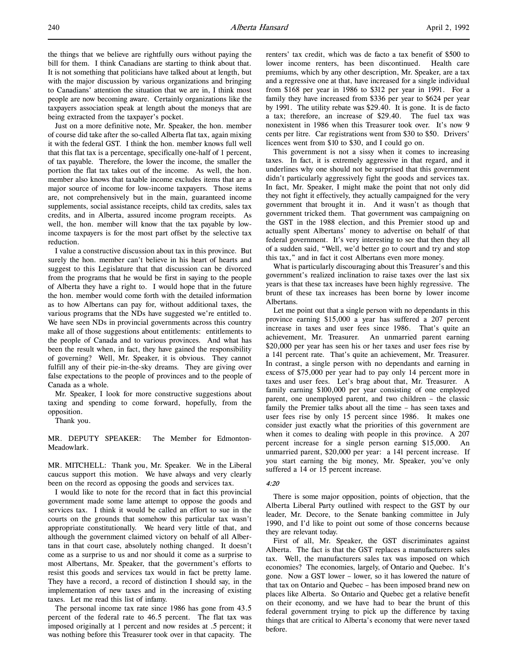the things that we believe are rightfully ours without paying the bill for them. I think Canadians are starting to think about that. It is not something that politicians have talked about at length, but with the major discussion by various organizations and bringing to Canadians' attention the situation that we are in, I think most people are now becoming aware. Certainly organizations like the taxpayers association speak at length about the moneys that are being extracted from the taxpayer's pocket.

Just on a more definitive note, Mr. Speaker, the hon. member of course did take after the so-called Alberta flat tax, again mixing it with the federal GST. I think the hon. member knows full well that this flat tax is a percentage, specifically one-half of 1 percent, of tax payable. Therefore, the lower the income, the smaller the portion the flat tax takes out of the income. As well, the hon. member also knows that taxable income excludes items that are a major source of income for low-income taxpayers. Those items are, not comprehensively but in the main, guaranteed income supplements, social assistance receipts, child tax credits, sales tax credits, and in Alberta, assured income program receipts. As well, the hon. member will know that the tax payable by lowincome taxpayers is for the most part offset by the selective tax reduction.

I value a constructive discussion about tax in this province. But surely the hon. member can't believe in his heart of hearts and suggest to this Legislature that that discussion can be divorced from the programs that he would be first in saying to the people of Alberta they have a right to. I would hope that in the future the hon. member would come forth with the detailed information as to how Albertans can pay for, without additional taxes, the various programs that the NDs have suggested we're entitled to. We have seen NDs in provincial governments across this country make all of those suggestions about entitlements: entitlements to the people of Canada and to various provinces. And what has been the result when, in fact, they have gained the responsibility of governing? Well, Mr. Speaker, it is obvious. They cannot fulfill any of their pie-in-the-sky dreams. They are giving over false expectations to the people of provinces and to the people of Canada as a whole.

Mr. Speaker, I look for more constructive suggestions about taxing and spending to come forward, hopefully, from the opposition.

Thank you.

MR. DEPUTY SPEAKER: The Member for Edmonton-Meadowlark.

MR. MITCHELL: Thank you, Mr. Speaker. We in the Liberal caucus support this motion. We have always and very clearly been on the record as opposing the goods and services tax.

I would like to note for the record that in fact this provincial government made some lame attempt to oppose the goods and services tax. I think it would be called an effort to sue in the courts on the grounds that somehow this particular tax wasn't appropriate constitutionally. We heard very little of that, and although the government claimed victory on behalf of all Albertans in that court case, absolutely nothing changed. It doesn't come as a surprise to us and nor should it come as a surprise to most Albertans, Mr. Speaker, that the government's efforts to resist this goods and services tax would in fact be pretty lame. They have a record, a record of distinction I should say, in the implementation of new taxes and in the increasing of existing taxes. Let me read this list of infamy.

The personal income tax rate since 1986 has gone from 43.5 percent of the federal rate to 46.5 percent. The flat tax was imposed originally at 1 percent and now resides at .5 percent; it was nothing before this Treasurer took over in that capacity. The

renters' tax credit, which was de facto a tax benefit of \$500 to lower income renters, has been discontinued. Health care premiums, which by any other description, Mr. Speaker, are a tax and a regressive one at that, have increased for a single individual from \$168 per year in 1986 to \$312 per year in 1991. For a family they have increased from \$336 per year to \$624 per year by 1991. The utility rebate was \$29.40. It is gone. It is de facto a tax; therefore, an increase of \$29.40. The fuel tax was nonexistent in 1986 when this Treasurer took over. It's now 9 cents per litre. Car registrations went from \$30 to \$50. Drivers' licences went from \$10 to \$30, and I could go on.

This government is not a sissy when it comes to increasing taxes. In fact, it is extremely aggressive in that regard, and it underlines why one should not be surprised that this government didn't particularly aggressively fight the goods and services tax. In fact, Mr. Speaker, I might make the point that not only did they not fight it effectively, they actually campaigned for the very government that brought it in. And it wasn't as though that government tricked them. That government was campaigning on the GST in the 1988 election, and this Premier stood up and actually spent Albertans' money to advertise on behalf of that federal government. It's very interesting to see that then they all of a sudden said, "Well, we'd better go to court and try and stop this tax," and in fact it cost Albertans even more money.

What is particularly discouraging about this Treasurer's and this government's realized inclination to raise taxes over the last six years is that these tax increases have been highly regressive. The brunt of these tax increases has been borne by lower income Albertans.

Let me point out that a single person with no dependants in this province earning \$15,000 a year has suffered a 207 percent increase in taxes and user fees since 1986. That's quite an achievement, Mr. Treasurer. An unmarried parent earning \$20,000 per year has seen his or her taxes and user fees rise by a 141 percent rate. That's quite an achievement, Mr. Treasurer. In contrast, a single person with no dependants and earning in excess of \$75,000 per year had to pay only 14 percent more in taxes and user fees. Let's brag about that, Mr. Treasurer. A family earning \$100,000 per year consisting of one employed parent, one unemployed parent, and two children – the classic family the Premier talks about all the time – has seen taxes and user fees rise by only 15 percent since 1986. It makes one consider just exactly what the priorities of this government are when it comes to dealing with people in this province. A 207 percent increase for a single person earning \$15,000. An unmarried parent, \$20,000 per year: a 141 percent increase. If you start earning the big money, Mr. Speaker, you've only suffered a 14 or 15 percent increase.

#### 4:20

There is some major opposition, points of objection, that the Alberta Liberal Party outlined with respect to the GST by our leader, Mr. Decore, to the Senate banking committee in July 1990, and I'd like to point out some of those concerns because they are relevant today.

First of all, Mr. Speaker, the GST discriminates against Alberta. The fact is that the GST replaces a manufacturers sales tax. Well, the manufacturers sales tax was imposed on which economies? The economies, largely, of Ontario and Quebec. It's gone. Now a GST lower – lower, so it has lowered the nature of that tax on Ontario and Quebec – has been imposed brand new on places like Alberta. So Ontario and Quebec get a relative benefit on their economy, and we have had to bear the brunt of this federal government trying to pick up the difference by taxing things that are critical to Alberta's economy that were never taxed before.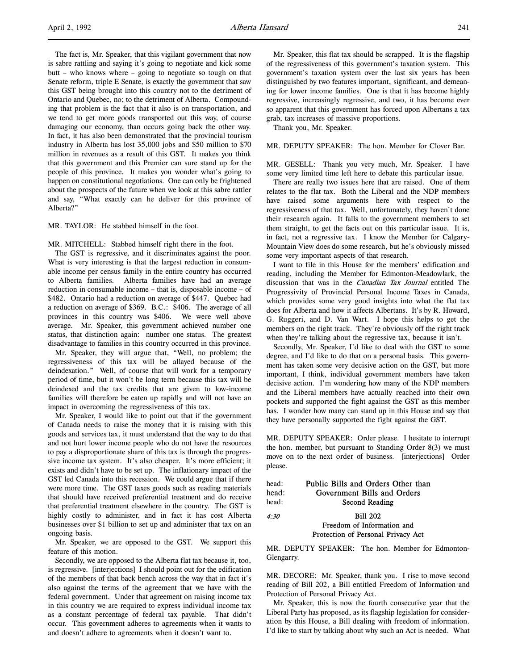The fact is, Mr. Speaker, that this vigilant government that now is sabre rattling and saying it's going to negotiate and kick some butt – who knows where – going to negotiate so tough on that Senate reform, triple E Senate, is exactly the government that saw this GST being brought into this country not to the detriment of Ontario and Quebec, no; to the detriment of Alberta. Compounding that problem is the fact that it also is on transportation, and we tend to get more goods transported out this way, of course damaging our economy, than occurs going back the other way. In fact, it has also been demonstrated that the provincial tourism industry in Alberta has lost 35,000 jobs and \$50 million to \$70 million in revenues as a result of this GST. It makes you think that this government and this Premier can sure stand up for the people of this province. It makes you wonder what's going to happen on constitutional negotiations. One can only be frightened about the prospects of the future when we look at this sabre rattler and say, "What exactly can he deliver for this province of Alberta?"

MR. TAYLOR: He stabbed himself in the foot.

MR. MITCHELL: Stabbed himself right there in the foot.

The GST is regressive, and it discriminates against the poor. What is very interesting is that the largest reduction in consumable income per census family in the entire country has occurred to Alberta families. Alberta families have had an average reduction in consumable income – that is, disposable income – of \$482. Ontario had a reduction on average of \$447. Quebec had a reduction on average of \$369. B.C.: \$406. The average of all provinces in this country was \$406. We were well above average. Mr. Speaker, this government achieved number one status, that distinction again: number one status. The greatest disadvantage to families in this country occurred in this province.

Mr. Speaker, they will argue that, "Well, no problem; the regressiveness of this tax will be allayed because of the deindexation." Well, of course that will work for a temporary period of time, but it won't be long term because this tax will be deindexed and the tax credits that are given to low-income families will therefore be eaten up rapidly and will not have an impact in overcoming the regressiveness of this tax.

Mr. Speaker, I would like to point out that if the government of Canada needs to raise the money that it is raising with this goods and services tax, it must understand that the way to do that and not hurt lower income people who do not have the resources to pay a disproportionate share of this tax is through the progressive income tax system. It's also cheaper. It's more efficient; it exists and didn't have to be set up. The inflationary impact of the GST led Canada into this recession. We could argue that if there were more time. The GST taxes goods such as reading materials that should have received preferential treatment and do receive that preferential treatment elsewhere in the country. The GST is highly costly to administer, and in fact it has cost Alberta businesses over \$1 billion to set up and administer that tax on an ongoing basis.

Mr. Speaker, we are opposed to the GST. We support this feature of this motion.

Secondly, we are opposed to the Alberta flat tax because it, too, is regressive. [interjections] I should point out for the edification of the members of that back bench across the way that in fact it's also against the terms of the agreement that we have with the federal government. Under that agreement on raising income tax in this country we are required to express individual income tax as a constant percentage of federal tax payable. That didn't occur. This government adheres to agreements when it wants to and doesn't adhere to agreements when it doesn't want to.

Mr. Speaker, this flat tax should be scrapped. It is the flagship of the regressiveness of this government's taxation system. This government's taxation system over the last six years has been distinguished by two features important, significant, and demeaning for lower income families. One is that it has become highly regressive, increasingly regressive, and two, it has become ever so apparent that this government has forced upon Albertans a tax grab, tax increases of massive proportions.

Thank you, Mr. Speaker.

#### MR. DEPUTY SPEAKER: The hon. Member for Clover Bar.

MR. GESELL: Thank you very much, Mr. Speaker. I have some very limited time left here to debate this particular issue.

There are really two issues here that are raised. One of them relates to the flat tax. Both the Liberal and the NDP members have raised some arguments here with respect to the regressiveness of that tax. Well, unfortunately, they haven't done their research again. It falls to the government members to set them straight, to get the facts out on this particular issue. It is, in fact, not a regressive tax. I know the Member for Calgary-Mountain View does do some research, but he's obviously missed some very important aspects of that research.

I want to file in this House for the members' edification and reading, including the Member for Edmonton-Meadowlark, the discussion that was in the Canadian Tax Journal entitled The Progressivity of Provincial Personal Income Taxes in Canada, which provides some very good insights into what the flat tax does for Alberta and how it affects Albertans. It's by R. Howard, G. Ruggeri, and D. Van Wart. I hope this helps to get the members on the right track. They're obviously off the right track when they're talking about the regressive tax, because it isn't.

Secondly, Mr. Speaker, I'd like to deal with the GST to some degree, and I'd like to do that on a personal basis. This government has taken some very decisive action on the GST, but more important, I think, individual government members have taken decisive action. I'm wondering how many of the NDP members and the Liberal members have actually reached into their own pockets and supported the fight against the GST as this member has. I wonder how many can stand up in this House and say that they have personally supported the fight against the GST.

MR. DEPUTY SPEAKER: Order please. I hesitate to interrupt the hon. member, but pursuant to Standing Order 8(3) we must move on to the next order of business. [interjections] Order please.

| head: | Public Bills and Orders Other than |
|-------|------------------------------------|
| head: | Government Bills and Orders        |
| head: | Second Reading                     |
| 4:30  | <b>Bill 202</b>                    |
|       | Freedom of Information and         |
|       | Protection of Personal Privacy Act |

MR. DEPUTY SPEAKER: The hon. Member for Edmonton-Glengarry.

MR. DECORE: Mr. Speaker, thank you. I rise to move second reading of Bill 202, a Bill entitled Freedom of Information and Protection of Personal Privacy Act.

Mr. Speaker, this is now the fourth consecutive year that the Liberal Party has proposed, as its flagship legislation for consideration by this House, a Bill dealing with freedom of information. I'd like to start by talking about why such an Act is needed. What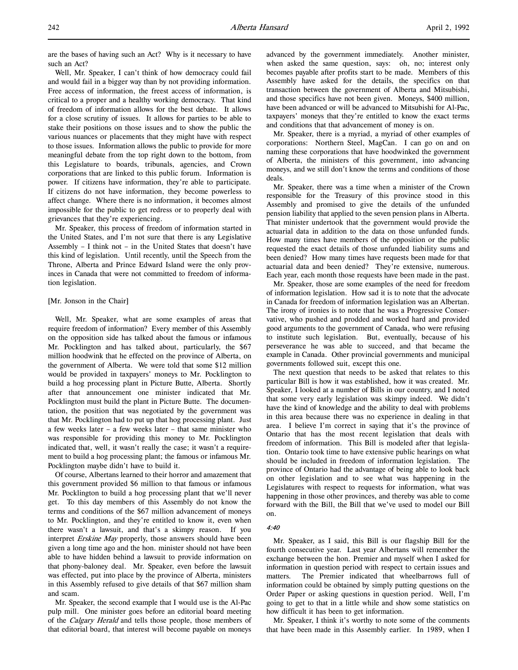are the bases of having such an Act? Why is it necessary to have such an Act?

Well, Mr. Speaker, I can't think of how democracy could fail and would fail in a bigger way than by not providing information. Free access of information, the freest access of information, is critical to a proper and a healthy working democracy. That kind of freedom of information allows for the best debate. It allows for a close scrutiny of issues. It allows for parties to be able to stake their positions on those issues and to show the public the various nuances or placements that they might have with respect to those issues. Information allows the public to provide for more meaningful debate from the top right down to the bottom, from this Legislature to boards, tribunals, agencies, and Crown corporations that are linked to this public forum. Information is power. If citizens have information, they're able to participate. If citizens do not have information, they become powerless to affect change. Where there is no information, it becomes almost impossible for the public to get redress or to properly deal with grievances that they're experiencing.

Mr. Speaker, this process of freedom of information started in the United States, and I'm not sure that there is any Legislative Assembly – I think not – in the United States that doesn't have this kind of legislation. Until recently, until the Speech from the Throne, Alberta and Prince Edward Island were the only provinces in Canada that were not committed to freedom of information legislation.

### [Mr. Jonson in the Chair]

Well, Mr. Speaker, what are some examples of areas that require freedom of information? Every member of this Assembly on the opposition side has talked about the famous or infamous Mr. Pocklington and has talked about, particularly, the \$67 million hoodwink that he effected on the province of Alberta, on the government of Alberta. We were told that some \$12 million would be provided in taxpayers' moneys to Mr. Pocklington to build a hog processing plant in Picture Butte, Alberta. Shortly after that announcement one minister indicated that Mr. Pocklington must build the plant in Picture Butte. The documentation, the position that was negotiated by the government was that Mr. Pocklington had to put up that hog processing plant. Just a few weeks later – a few weeks later – that same minister who was responsible for providing this money to Mr. Pocklington indicated that, well, it wasn't really the case; it wasn't a requirement to build a hog processing plant; the famous or infamous Mr. Pocklington maybe didn't have to build it.

Of course, Albertans learned to their horror and amazement that this government provided \$6 million to that famous or infamous Mr. Pocklington to build a hog processing plant that we'll never get. To this day members of this Assembly do not know the terms and conditions of the \$67 million advancement of moneys to Mr. Pocklington, and they're entitled to know it, even when there wasn't a lawsuit, and that's a skimpy reason. If you interpret Erskine May properly, those answers should have been given a long time ago and the hon. minister should not have been able to have hidden behind a lawsuit to provide information on that phony-baloney deal. Mr. Speaker, even before the lawsuit was effected, put into place by the province of Alberta, ministers in this Assembly refused to give details of that \$67 million sham and scam.

Mr. Speaker, the second example that I would use is the Al-Pac pulp mill. One minister goes before an editorial board meeting of the *Calgary Herald* and tells those people, those members of that editorial board, that interest will become payable on moneys

advanced by the government immediately. Another minister, when asked the same question, says: oh, no; interest only becomes payable after profits start to be made. Members of this Assembly have asked for the details, the specifics on that transaction between the government of Alberta and Mitsubishi, and those specifics have not been given. Moneys, \$400 million, have been advanced or will be advanced to Mitsubishi for Al-Pac, taxpayers' moneys that they're entitled to know the exact terms and conditions that that advancement of money is on.

Mr. Speaker, there is a myriad, a myriad of other examples of corporations: Northern Steel, MagCan. I can go on and on naming these corporations that have hoodwinked the government of Alberta, the ministers of this government, into advancing moneys, and we still don't know the terms and conditions of those deals.

Mr. Speaker, there was a time when a minister of the Crown responsible for the Treasury of this province stood in this Assembly and promised to give the details of the unfunded pension liability that applied to the seven pension plans in Alberta. That minister undertook that the government would provide the actuarial data in addition to the data on those unfunded funds. How many times have members of the opposition or the public requested the exact details of those unfunded liability sums and been denied? How many times have requests been made for that actuarial data and been denied? They're extensive, numerous. Each year, each month those requests have been made in the past.

Mr. Speaker, those are some examples of the need for freedom of information legislation. How sad it is to note that the advocate in Canada for freedom of information legislation was an Albertan. The irony of ironies is to note that he was a Progressive Conservative, who pushed and prodded and worked hard and provided good arguments to the government of Canada, who were refusing to institute such legislation. But, eventually, because of his perseverance he was able to succeed, and that became the example in Canada. Other provincial governments and municipal governments followed suit, except this one.

The next question that needs to be asked that relates to this particular Bill is how it was established, how it was created. Mr. Speaker, I looked at a number of Bills in our country, and I noted that some very early legislation was skimpy indeed. We didn't have the kind of knowledge and the ability to deal with problems in this area because there was no experience in dealing in that area. I believe I'm correct in saying that it's the province of Ontario that has the most recent legislation that deals with freedom of information. This Bill is modeled after that legislation. Ontario took time to have extensive public hearings on what should be included in freedom of information legislation. The province of Ontario had the advantage of being able to look back on other legislation and to see what was happening in the Legislatures with respect to requests for information, what was happening in those other provinces, and thereby was able to come forward with the Bill, the Bill that we've used to model our Bill on.

#### 4:40

Mr. Speaker, as I said, this Bill is our flagship Bill for the fourth consecutive year. Last year Albertans will remember the exchange between the hon. Premier and myself when I asked for information in question period with respect to certain issues and matters. The Premier indicated that wheelbarrows full of information could be obtained by simply putting questions on the Order Paper or asking questions in question period. Well, I'm going to get to that in a little while and show some statistics on how difficult it has been to get information.

Mr. Speaker, I think it's worthy to note some of the comments that have been made in this Assembly earlier. In 1989, when I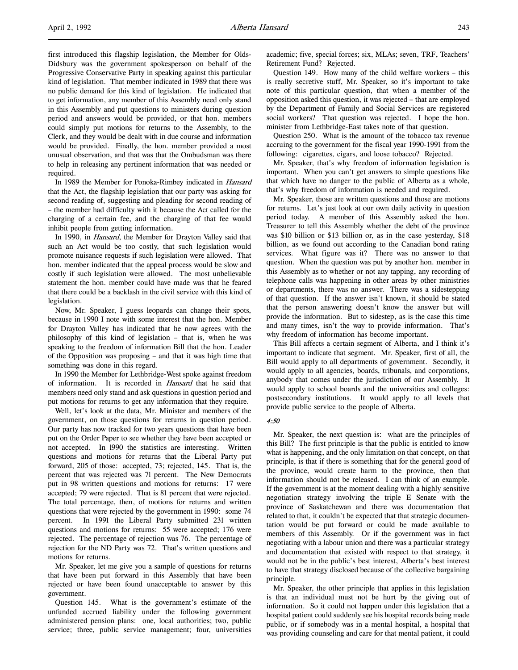first introduced this flagship legislation, the Member for Olds-Didsbury was the government spokesperson on behalf of the Progressive Conservative Party in speaking against this particular kind of legislation. That member indicated in 1989 that there was no public demand for this kind of legislation. He indicated that to get information, any member of this Assembly need only stand in this Assembly and put questions to ministers during question period and answers would be provided, or that hon. members could simply put motions for returns to the Assembly, to the Clerk, and they would be dealt with in due course and information would be provided. Finally, the hon. member provided a most unusual observation, and that was that the Ombudsman was there to help in releasing any pertinent information that was needed or required.

In 1989 the Member for Ponoka-Rimbey indicated in Hansard that the Act, the flagship legislation that our party was asking for second reading of, suggesting and pleading for second reading of – the member had difficulty with it because the Act called for the charging of a certain fee, and the charging of that fee would inhibit people from getting information.

In 1990, in *Hansard*, the Member for Drayton Valley said that such an Act would be too costly, that such legislation would promote nuisance requests if such legislation were allowed. That hon. member indicated that the appeal process would be slow and costly if such legislation were allowed. The most unbelievable statement the hon. member could have made was that he feared that there could be a backlash in the civil service with this kind of legislation.

Now, Mr. Speaker, I guess leopards can change their spots, because in 1990 I note with some interest that the hon. Member for Drayton Valley has indicated that he now agrees with the philosophy of this kind of legislation – that is, when he was speaking to the freedom of information Bill that the hon. Leader of the Opposition was proposing – and that it was high time that something was done in this regard.

In 1990 the Member for Lethbridge-West spoke against freedom of information. It is recorded in Hansard that he said that members need only stand and ask questions in question period and put motions for returns to get any information that they require.

Well, let's look at the data, Mr. Minister and members of the government, on those questions for returns in question period. Our party has now tracked for two years questions that have been put on the Order Paper to see whether they have been accepted or not accepted. In l990 the statistics are interesting. Written questions and motions for returns that the Liberal Party put forward, 205 of those: accepted, 73; rejected, 145. That is, the percent that was rejected was 7l percent. The New Democrats put in 98 written questions and motions for returns: 17 were accepted; 79 were rejected. That is 81 percent that were rejected. The total percentage, then, of motions for returns and written questions that were rejected by the government in 1990: some 74 percent. In 1991 the Liberal Party submitted 231 written questions and motions for returns: 55 were accepted; 176 were rejected. The percentage of rejection was 76. The percentage of rejection for the ND Party was 72. That's written questions and motions for returns.

Mr. Speaker, let me give you a sample of questions for returns that have been put forward in this Assembly that have been rejected or have been found unacceptable to answer by this government.

Question 145. What is the government's estimate of the unfunded accrued liability under the following government administered pension plans: one, local authorities; two, public service; three, public service management; four, universities

academic; five, special forces; six, MLAs; seven, TRF, Teachers' Retirement Fund? Rejected.

Question 149. How many of the child welfare workers – this is really secretive stuff, Mr. Speaker, so it's important to take note of this particular question, that when a member of the opposition asked this question, it was rejected – that are employed by the Department of Family and Social Services are registered social workers? That question was rejected. I hope the hon. minister from Lethbridge-East takes note of that question.

Question 250. What is the amount of the tobacco tax revenue accruing to the government for the fiscal year 1990-1991 from the following: cigarettes, cigars, and loose tobacco? Rejected.

Mr. Speaker, that's why freedom of information legislation is important. When you can't get answers to simple questions like that which have no danger to the public of Alberta as a whole, that's why freedom of information is needed and required.

Mr. Speaker, those are written questions and those are motions for returns. Let's just look at our own daily activity in question period today. A member of this Assembly asked the hon. Treasurer to tell this Assembly whether the debt of the province was \$10 billion or \$13 billion or, as in the case yesterday, \$18 billion, as we found out according to the Canadian bond rating services. What figure was it? There was no answer to that question. When the question was put by another hon. member in this Assembly as to whether or not any tapping, any recording of telephone calls was happening in other areas by other ministries or departments, there was no answer. There was a sidestepping of that question. If the answer isn't known, it should be stated that the person answering doesn't know the answer but will provide the information. But to sidestep, as is the case this time and many times, isn't the way to provide information. That's why freedom of information has become important.

This Bill affects a certain segment of Alberta, and I think it's important to indicate that segment. Mr. Speaker, first of all, the Bill would apply to all departments of government. Secondly, it would apply to all agencies, boards, tribunals, and corporations, anybody that comes under the jurisdiction of our Assembly. It would apply to school boards and the universities and colleges: postsecondary institutions. It would apply to all levels that provide public service to the people of Alberta.

#### 4:50

Mr. Speaker, the next question is: what are the principles of this Bill? The first principle is that the public is entitled to know what is happening, and the only limitation on that concept, on that principle, is that if there is something that for the general good of the province, would create harm to the province, then that information should not be released. I can think of an example. If the government is at the moment dealing with a highly sensitive negotiation strategy involving the triple E Senate with the province of Saskatchewan and there was documentation that related to that, it couldn't be expected that that strategic documentation would be put forward or could be made available to members of this Assembly. Or if the government was in fact negotiating with a labour union and there was a particular strategy and documentation that existed with respect to that strategy, it would not be in the public's best interest, Alberta's best interest to have that strategy disclosed because of the collective bargaining principle.

Mr. Speaker, the other principle that applies in this legislation is that an individual must not be hurt by the giving out of information. So it could not happen under this legislation that a hospital patient could suddenly see his hospital records being made public, or if somebody was in a mental hospital, a hospital that was providing counseling and care for that mental patient, it could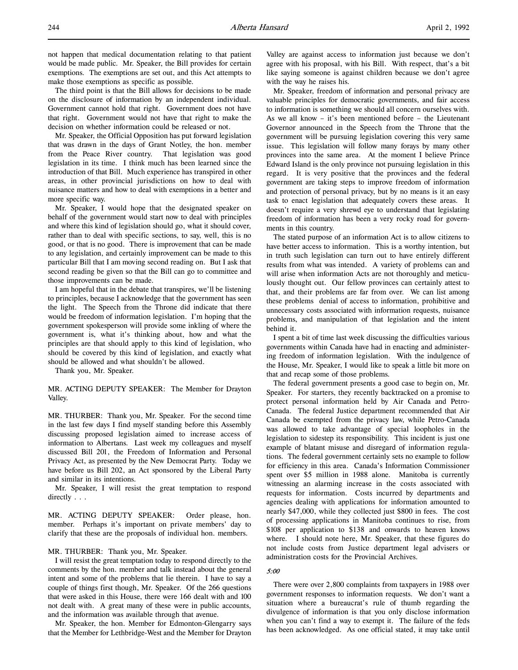not happen that medical documentation relating to that patient would be made public. Mr. Speaker, the Bill provides for certain exemptions. The exemptions are set out, and this Act attempts to make those exemptions as specific as possible.

The third point is that the Bill allows for decisions to be made on the disclosure of information by an independent individual. Government cannot hold that right. Government does not have that right. Government would not have that right to make the decision on whether information could be released or not.

Mr. Speaker, the Official Opposition has put forward legislation that was drawn in the days of Grant Notley, the hon. member from the Peace River country. That legislation was good legislation in its time. I think much has been learned since the introduction of that Bill. Much experience has transpired in other areas, in other provincial jurisdictions on how to deal with nuisance matters and how to deal with exemptions in a better and more specific way.

Mr. Speaker, I would hope that the designated speaker on behalf of the government would start now to deal with principles and where this kind of legislation should go, what it should cover, rather than to deal with specific sections, to say, well, this is no good, or that is no good. There is improvement that can be made to any legislation, and certainly improvement can be made to this particular Bill that I am moving second reading on. But I ask that second reading be given so that the Bill can go to committee and those improvements can be made.

I am hopeful that in the debate that transpires, we'll be listening to principles, because I acknowledge that the government has seen the light. The Speech from the Throne did indicate that there would be freedom of information legislation. I'm hoping that the government spokesperson will provide some inkling of where the government is, what it's thinking about, how and what the principles are that should apply to this kind of legislation, who should be covered by this kind of legislation, and exactly what should be allowed and what shouldn't be allowed.

Thank you, Mr. Speaker.

MR. ACTING DEPUTY SPEAKER: The Member for Drayton Valley.

MR. THURBER: Thank you, Mr. Speaker. For the second time in the last few days I find myself standing before this Assembly discussing proposed legislation aimed to increase access of information to Albertans. Last week my colleagues and myself discussed Bill 201, the Freedom of Information and Personal Privacy Act, as presented by the New Democrat Party. Today we have before us Bill 202, an Act sponsored by the Liberal Party and similar in its intentions.

Mr. Speaker, I will resist the great temptation to respond directly . . .

MR. ACTING DEPUTY SPEAKER: Order please, hon. member. Perhaps it's important on private members' day to clarify that these are the proposals of individual hon. members.

### MR. THURBER: Thank you, Mr. Speaker.

I will resist the great temptation today to respond directly to the comments by the hon. member and talk instead about the general intent and some of the problems that lie therein. I have to say a couple of things first though, Mr. Speaker. Of the 266 questions that were asked in this House, there were 166 dealt with and 100 not dealt with. A great many of these were in public accounts, and the information was available through that avenue.

Mr. Speaker, the hon. Member for Edmonton-Glengarry says that the Member for Lethbridge-West and the Member for Drayton Valley are against access to information just because we don't agree with his proposal, with his Bill. With respect, that's a bit like saying someone is against children because we don't agree with the way he raises his.

Mr. Speaker, freedom of information and personal privacy are valuable principles for democratic governments, and fair access to information is something we should all concern ourselves with. As we all know – it's been mentioned before – the Lieutenant Governor announced in the Speech from the Throne that the government will be pursuing legislation covering this very same issue. This legislation will follow many forays by many other provinces into the same area. At the moment I believe Prince Edward Island is the only province not pursuing legislation in this regard. It is very positive that the provinces and the federal government are taking steps to improve freedom of information and protection of personal privacy, but by no means is it an easy task to enact legislation that adequately covers these areas. It doesn't require a very shrewd eye to understand that legislating freedom of information has been a very rocky road for governments in this country.

The stated purpose of an information Act is to allow citizens to have better access to information. This is a worthy intention, but in truth such legislation can turn out to have entirely different results from what was intended. A variety of problems can and will arise when information Acts are not thoroughly and meticulously thought out. Our fellow provinces can certainly attest to that, and their problems are far from over. We can list among these problems denial of access to information, prohibitive and unnecessary costs associated with information requests, nuisance problems, and manipulation of that legislation and the intent behind it.

I spent a bit of time last week discussing the difficulties various governments within Canada have had in enacting and administering freedom of information legislation. With the indulgence of the House, Mr. Speaker, I would like to speak a little bit more on that and recap some of those problems.

The federal government presents a good case to begin on, Mr. Speaker. For starters, they recently backtracked on a promise to protect personal information held by Air Canada and Petro-Canada. The federal Justice department recommended that Air Canada be exempted from the privacy law, while Petro-Canada was allowed to take advantage of special loopholes in the legislation to sidestep its responsibility. This incident is just one example of blatant misuse and disregard of information regulations. The federal government certainly sets no example to follow for efficiency in this area. Canada's Information Commissioner spent over \$5 million in 1988 alone. Manitoba is currently witnessing an alarming increase in the costs associated with requests for information. Costs incurred by departments and agencies dealing with applications for information amounted to nearly \$47,000, while they collected just \$800 in fees. The cost of processing applications in Manitoba continues to rise, from \$108 per application to \$138 and onwards to heaven knows where. I should note here, Mr. Speaker, that these figures do not include costs from Justice department legal advisers or administration costs for the Provincial Archives.

#### 5:00

There were over 2,800 complaints from taxpayers in 1988 over government responses to information requests. We don't want a situation where a bureaucrat's rule of thumb regarding the divulgence of information is that you only disclose information when you can't find a way to exempt it. The failure of the feds has been acknowledged. As one official stated, it may take until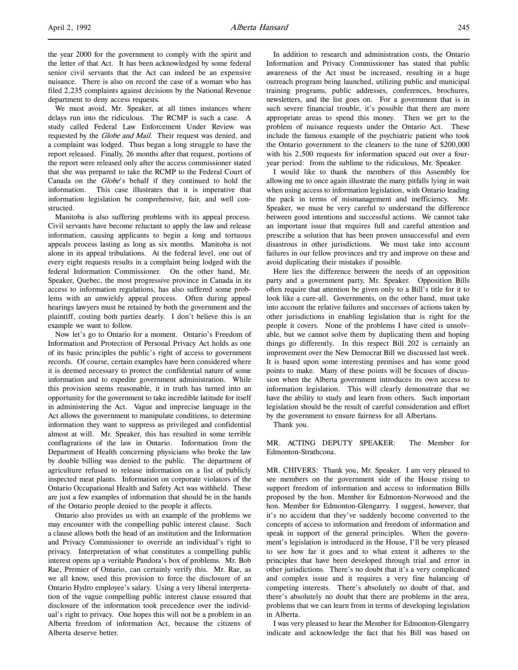the year 2000 for the government to comply with the spirit and the letter of that Act. It has been acknowledged by some federal senior civil servants that the Act can indeed be an expensive nuisance. There is also on record the case of a woman who has filed 2,235 complaints against decisions by the National Revenue department to deny access requests.

We must avoid, Mr. Speaker, at all times instances where delays run into the ridiculous. The RCMP is such a case. A study called Federal Law Enforcement Under Review was requested by the Globe and Mail. Their request was denied, and a complaint was lodged. Thus began a long struggle to have the report released. Finally, 26 months after that request, portions of the report were released only after the access commissioner stated that she was prepared to take the RCMP to the Federal Court of Canada on the Globe's behalf if they continued to hold the information. This case illustrates that it is imperative that information legislation be comprehensive, fair, and well constructed.

Manitoba is also suffering problems with its appeal process. Civil servants have become reluctant to apply the law and release information, causing applicants to begin a long and tortuous appeals process lasting as long as six months. Manitoba is not alone in its appeal tribulations. At the federal level, one out of every eight requests results in a complaint being lodged with the federal Information Commissioner. On the other hand, Mr. Speaker, Quebec, the most progressive province in Canada in its access to information regulations, has also suffered some problems with an unwieldy appeal process. Often during appeal hearings lawyers must be retained by both the government and the plaintiff, costing both parties dearly. I don't believe this is an example we want to follow.

Now let's go to Ontario for a moment. Ontario's Freedom of Information and Protection of Personal Privacy Act holds as one of its basic principles the public's right of access to government records. Of course, certain examples have been considered where it is deemed necessary to protect the confidential nature of some information and to expedite government administration. While this provision seems reasonable, it in truth has turned into an opportunity for the government to take incredible latitude for itself in administering the Act. Vague and imprecise language in the Act allows the government to manipulate conditions, to determine information they want to suppress as privileged and confidential almost at will. Mr. Speaker, this has resulted in some terrible conflagrations of the law in Ontario. Information from the Department of Health concerning physicians who broke the law by double billing was denied to the public. The department of agriculture refused to release information on a list of publicly inspected meat plants. Information on corporate violators of the Ontario Occupational Health and Safety Act was withheld. These are just a few examples of information that should be in the hands of the Ontario people denied to the people it affects.

Ontario also provides us with an example of the problems we may encounter with the compelling public interest clause. Such a clause allows both the head of an institution and the Information and Privacy Commissioner to override an individual's right to privacy. Interpretation of what constitutes a compelling public interest opens up a veritable Pandora's box of problems. Mr. Bob Rae, Premier of Ontario, can certainly verify this. Mr. Rae, as we all know, used this provision to force the disclosure of an Ontario Hydro employee's salary. Using a very liberal interpretation of the vague compelling public interest clause ensured that disclosure of the information took precedence over the individual's right to privacy. One hopes this will not be a problem in an Alberta freedom of information Act, because the citizens of Alberta deserve better.

In addition to research and administration costs, the Ontario Information and Privacy Commissioner has stated that public awareness of the Act must be increased, resulting in a huge outreach program being launched, utilizing public and municipal training programs, public addresses, conferences, brochures, newsletters, and the list goes on. For a government that is in such severe financial trouble, it's possible that there are more appropriate areas to spend this money. Then we get to the problem of nuisance requests under the Ontario Act. These include the famous example of the psychiatric patient who took the Ontario government to the cleaners to the tune of \$200,000 with his 2,500 requests for information spaced out over a fouryear period: from the sublime to the ridiculous, Mr. Speaker.

I would like to thank the members of this Assembly for allowing me to once again illustrate the many pitfalls lying in wait when using access to information legislation, with Ontario leading the pack in terms of mismanagement and inefficiency. Mr. Speaker, we must be very careful to understand the difference between good intentions and successful actions. We cannot take an important issue that requires full and careful attention and prescribe a solution that has been proven unsuccessful and even disastrous in other jurisdictions. We must take into account failures in our fellow provinces and try and improve on these and avoid duplicating their mistakes if possible.

Here lies the difference between the needs of an opposition party and a government party, Mr. Speaker. Opposition Bills often require that attention be given only to a Bill's title for it to look like a cure-all. Governments, on the other hand, must take into account the relative failures and successes of actions taken by other jurisdictions in enabling legislation that is right for the people it covers. None of the problems I have cited is unsolvable, but we cannot solve them by duplicating them and hoping things go differently. In this respect Bill 202 is certainly an improvement over the New Democrat Bill we discussed last week. It is based upon some interesting premises and has some good points to make. Many of these points will be focuses of discussion when the Alberta government introduces its own access to information legislation. This will clearly demonstrate that we have the ability to study and learn from others. Such important legislation should be the result of careful consideration and effort by the government to ensure fairness for all Albertans.

Thank you.

MR. ACTING DEPUTY SPEAKER: The Member for Edmonton-Strathcona.

MR. CHIVERS: Thank you, Mr. Speaker. I am very pleased to see members on the government side of the House rising to support freedom of information and access to information Bills proposed by the hon. Member for Edmonton-Norwood and the hon. Member for Edmonton-Glengarry. I suggest, however, that it's no accident that they've suddenly become converted to the concepts of access to information and freedom of information and speak in support of the general principles. When the government's legislation is introduced in the House, I'll be very pleased to see how far it goes and to what extent it adheres to the principles that have been developed through trial and error in other jurisdictions. There's no doubt that it's a very complicated and complex issue and it requires a very fine balancing of competing interests. There's absolutely no doubt of that, and there's absolutely no doubt that there are problems in the area, problems that we can learn from in terms of developing legislation in Alberta.

I was very pleased to hear the Member for Edmonton-Glengarry indicate and acknowledge the fact that his Bill was based on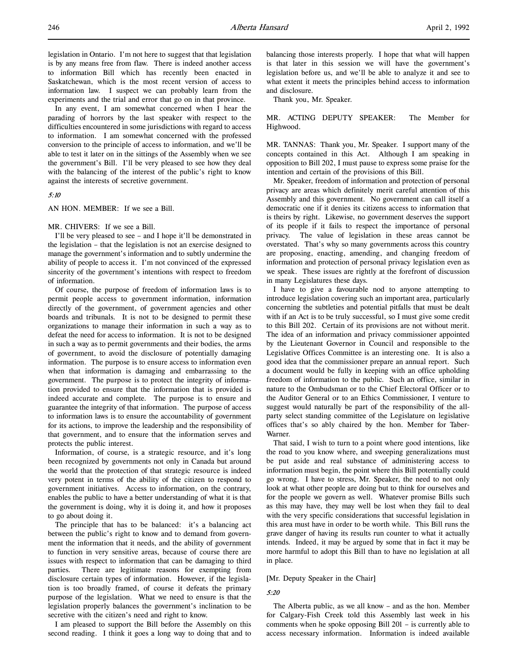legislation in Ontario. I'm not here to suggest that that legislation is by any means free from flaw. There is indeed another access to information Bill which has recently been enacted in Saskatchewan, which is the most recent version of access to information law. I suspect we can probably learn from the experiments and the trial and error that go on in that province.

In any event, I am somewhat concerned when I hear the parading of horrors by the last speaker with respect to the difficulties encountered in some jurisdictions with regard to access to information. I am somewhat concerned with the professed conversion to the principle of access to information, and we'll be able to test it later on in the sittings of the Assembly when we see the government's Bill. I'll be very pleased to see how they deal with the balancing of the interest of the public's right to know against the interests of secretive government.

# 5:10

AN HON. MEMBER: If we see a Bill.

#### MR. CHIVERS: If we see a Bill.

I'll be very pleased to see – and I hope it'll be demonstrated in the legislation – that the legislation is not an exercise designed to manage the government's information and to subtly undermine the ability of people to access it. I'm not convinced of the expressed sincerity of the government's intentions with respect to freedom of information.

Of course, the purpose of freedom of information laws is to permit people access to government information, information directly of the government, of government agencies and other boards and tribunals. It is not to be designed to permit these organizations to manage their information in such a way as to defeat the need for access to information. It is not to be designed in such a way as to permit governments and their bodies, the arms of government, to avoid the disclosure of potentially damaging information. The purpose is to ensure access to information even when that information is damaging and embarrassing to the government. The purpose is to protect the integrity of information provided to ensure that the information that is provided is indeed accurate and complete. The purpose is to ensure and guarantee the integrity of that information. The purpose of access to information laws is to ensure the accountability of government for its actions, to improve the leadership and the responsibility of that government, and to ensure that the information serves and protects the public interest.

Information, of course, is a strategic resource, and it's long been recognized by governments not only in Canada but around the world that the protection of that strategic resource is indeed very potent in terms of the ability of the citizen to respond to government initiatives. Access to information, on the contrary, enables the public to have a better understanding of what it is that the government is doing, why it is doing it, and how it proposes to go about doing it.

The principle that has to be balanced: it's a balancing act between the public's right to know and to demand from government the information that it needs, and the ability of government to function in very sensitive areas, because of course there are issues with respect to information that can be damaging to third parties. There are legitimate reasons for exempting from disclosure certain types of information. However, if the legislation is too broadly framed, of course it defeats the primary purpose of the legislation. What we need to ensure is that the legislation properly balances the government's inclination to be secretive with the citizen's need and right to know.

I am pleased to support the Bill before the Assembly on this second reading. I think it goes a long way to doing that and to

balancing those interests properly. I hope that what will happen is that later in this session we will have the government's legislation before us, and we'll be able to analyze it and see to what extent it meets the principles behind access to information and disclosure.

Thank you, Mr. Speaker.

MR. ACTING DEPUTY SPEAKER: The Member for Highwood.

MR. TANNAS: Thank you, Mr. Speaker. I support many of the concepts contained in this Act. Although I am speaking in opposition to Bill 202, I must pause to express some praise for the intention and certain of the provisions of this Bill.

Mr. Speaker, freedom of information and protection of personal privacy are areas which definitely merit careful attention of this Assembly and this government. No government can call itself a democratic one if it denies its citizens access to information that is theirs by right. Likewise, no government deserves the support of its people if it fails to respect the importance of personal privacy. The value of legislation in these areas cannot be overstated. That's why so many governments across this country are proposing, enacting, amending, and changing freedom of information and protection of personal privacy legislation even as we speak. These issues are rightly at the forefront of discussion in many Legislatures these days.

I have to give a favourable nod to anyone attempting to introduce legislation covering such an important area, particularly concerning the subtleties and potential pitfalls that must be dealt with if an Act is to be truly successful, so I must give some credit to this Bill 202. Certain of its provisions are not without merit. The idea of an information and privacy commissioner appointed by the Lieutenant Governor in Council and responsible to the Legislative Offices Committee is an interesting one. It is also a good idea that the commissioner prepare an annual report. Such a document would be fully in keeping with an office upholding freedom of information to the public. Such an office, similar in nature to the Ombudsman or to the Chief Electoral Officer or to the Auditor General or to an Ethics Commissioner, I venture to suggest would naturally be part of the responsibility of the allparty select standing committee of the Legislature on legislative offices that's so ably chaired by the hon. Member for Taber-Warner.

That said, I wish to turn to a point where good intentions, like the road to you know where, and sweeping generalizations must be put aside and real substance of administering access to information must begin, the point where this Bill potentially could go wrong. I have to stress, Mr. Speaker, the need to not only look at what other people are doing but to think for ourselves and for the people we govern as well. Whatever promise Bills such as this may have, they may well be lost when they fail to deal with the very specific considerations that successful legislation in this area must have in order to be worth while. This Bill runs the grave danger of having its results run counter to what it actually intends. Indeed, it may be argued by some that in fact it may be more harmful to adopt this Bill than to have no legislation at all in place.

#### [Mr. Deputy Speaker in the Chair]

#### 5:20

The Alberta public, as we all know – and as the hon. Member for Calgary-Fish Creek told this Assembly last week in his comments when he spoke opposing Bill 201 – is currently able to access necessary information. Information is indeed available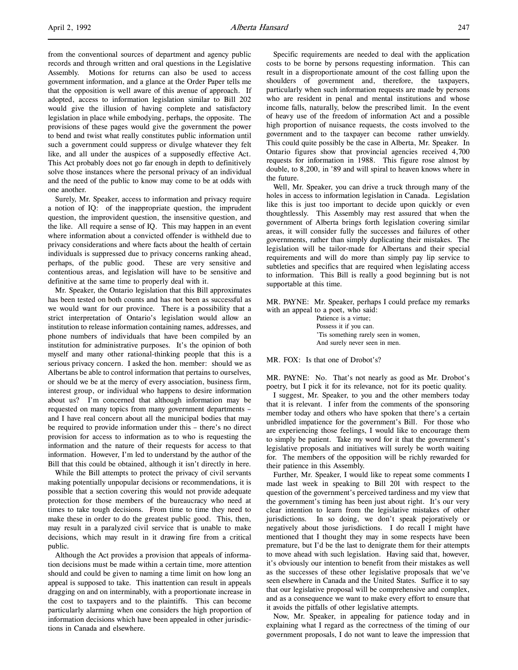from the conventional sources of department and agency public records and through written and oral questions in the Legislative Assembly. Motions for returns can also be used to access government information, and a glance at the Order Paper tells me that the opposition is well aware of this avenue of approach. If adopted, access to information legislation similar to Bill 202 would give the illusion of having complete and satisfactory legislation in place while embodying, perhaps, the opposite. The provisions of these pages would give the government the power to bend and twist what really constitutes public information until such a government could suppress or divulge whatever they felt like, and all under the auspices of a supposedly effective Act. This Act probably does not go far enough in depth to definitively solve those instances where the personal privacy of an individual and the need of the public to know may come to be at odds with one another.

Surely, Mr. Speaker, access to information and privacy require a notion of IQ: of the inappropriate question, the imprudent question, the improvident question, the insensitive question, and the like. All require a sense of IQ. This may happen in an event where information about a convicted offender is withheld due to privacy considerations and where facts about the health of certain individuals is suppressed due to privacy concerns ranking ahead, perhaps, of the public good. These are very sensitive and contentious areas, and legislation will have to be sensitive and definitive at the same time to properly deal with it.

Mr. Speaker, the Ontario legislation that this Bill approximates has been tested on both counts and has not been as successful as we would want for our province. There is a possibility that a strict interpretation of Ontario's legislation would allow an institution to release information containing names, addresses, and phone numbers of individuals that have been compiled by an institution for administrative purposes. It's the opinion of both myself and many other rational-thinking people that this is a serious privacy concern. I asked the hon. member: should we as Albertans be able to control information that pertains to ourselves, or should we be at the mercy of every association, business firm, interest group, or individual who happens to desire information about us? I'm concerned that although information may be requested on many topics from many government departments – and I have real concern about all the municipal bodies that may be required to provide information under this – there's no direct provision for access to information as to who is requesting the information and the nature of their requests for access to that information. However, I'm led to understand by the author of the Bill that this could be obtained, although it isn't directly in here.

While the Bill attempts to protect the privacy of civil servants making potentially unpopular decisions or recommendations, it is possible that a section covering this would not provide adequate protection for those members of the bureaucracy who need at times to take tough decisions. From time to time they need to make these in order to do the greatest public good. This, then, may result in a paralyzed civil service that is unable to make decisions, which may result in it drawing fire from a critical public.

Although the Act provides a provision that appeals of information decisions must be made within a certain time, more attention should and could be given to naming a time limit on how long an appeal is supposed to take. This inattention can result in appeals dragging on and on interminably, with a proportionate increase in the cost to taxpayers and to the plaintiffs. This can become particularly alarming when one considers the high proportion of information decisions which have been appealed in other jurisdictions in Canada and elsewhere.

Specific requirements are needed to deal with the application costs to be borne by persons requesting information. This can result in a disproportionate amount of the cost falling upon the shoulders of government and, therefore, the taxpayers, particularly when such information requests are made by persons who are resident in penal and mental institutions and whose income falls, naturally, below the prescribed limit. In the event of heavy use of the freedom of information Act and a possible high proportion of nuisance requests, the costs involved to the government and to the taxpayer can become rather unwieldy. This could quite possibly be the case in Alberta, Mr. Speaker. In Ontario figures show that provincial agencies received 4,700 requests for information in 1988. This figure rose almost by double, to 8,200, in '89 and will spiral to heaven knows where in the future.

Well, Mr. Speaker, you can drive a truck through many of the holes in access to information legislation in Canada. Legislation like this is just too important to decide upon quickly or even thoughtlessly. This Assembly may rest assured that when the government of Alberta brings forth legislation covering similar areas, it will consider fully the successes and failures of other governments, rather than simply duplicating their mistakes. The legislation will be tailor-made for Albertans and their special requirements and will do more than simply pay lip service to subtleties and specifics that are required when legislating access to information. This Bill is really a good beginning but is not supportable at this time.

MR. PAYNE: Mr. Speaker, perhaps I could preface my remarks with an appeal to a poet, who said:

> Patience is a virtue; Possess it if you can. 'Tis something rarely seen in women, And surely never seen in men.

MR. FOX: Is that one of Drobot's?

MR. PAYNE: No. That's not nearly as good as Mr. Drobot's poetry, but I pick it for its relevance, not for its poetic quality.

I suggest, Mr. Speaker, to you and the other members today that it is relevant. I infer from the comments of the sponsoring member today and others who have spoken that there's a certain unbridled impatience for the government's Bill. For those who are experiencing those feelings, I would like to encourage them to simply be patient. Take my word for it that the government's legislative proposals and initiatives will surely be worth waiting for. The members of the opposition will be richly rewarded for their patience in this Assembly.

Further, Mr. Speaker, I would like to repeat some comments I made last week in speaking to Bill 201 with respect to the question of the government's perceived tardiness and my view that the government's timing has been just about right. It's our very clear intention to learn from the legislative mistakes of other jurisdictions. In so doing, we don't speak pejoratively or negatively about those jurisdictions. I do recall I might have mentioned that I thought they may in some respects have been premature, but I'd be the last to denigrate them for their attempts to move ahead with such legislation. Having said that, however, it's obviously our intention to benefit from their mistakes as well as the successes of these other legislative proposals that we've seen elsewhere in Canada and the United States. Suffice it to say that our legislative proposal will be comprehensive and complex, and as a consequence we want to make every effort to ensure that it avoids the pitfalls of other legislative attempts.

Now, Mr. Speaker, in appealing for patience today and in explaining what I regard as the correctness of the timing of our government proposals, I do not want to leave the impression that